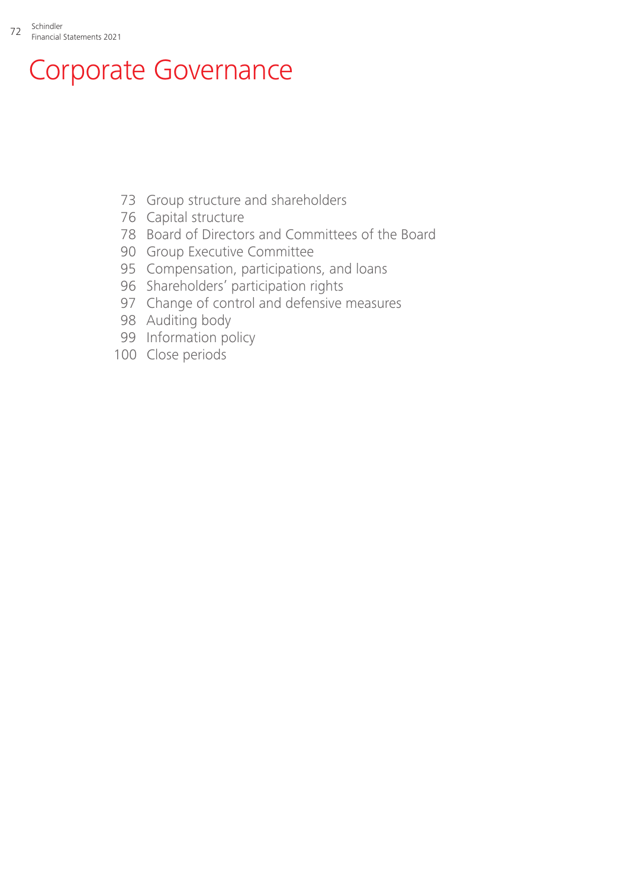# Corporate Governance

- [Group structure and shareholders](#page-1-0)
- [Capital structure](#page-4-0)
- [Board of Directors and Committees of the Board](#page-6-0)
- [Group Executive Committee](#page-18-0)
- [Compensation, participations, and loans](#page-23-0)
- [Shareholders' participation rights](#page-24-0)
- [Change of control and defensive measures](#page-25-0)
- [Auditing body](#page-26-0)
- [Information policy](#page-27-0)
- [Close periods](#page-28-0)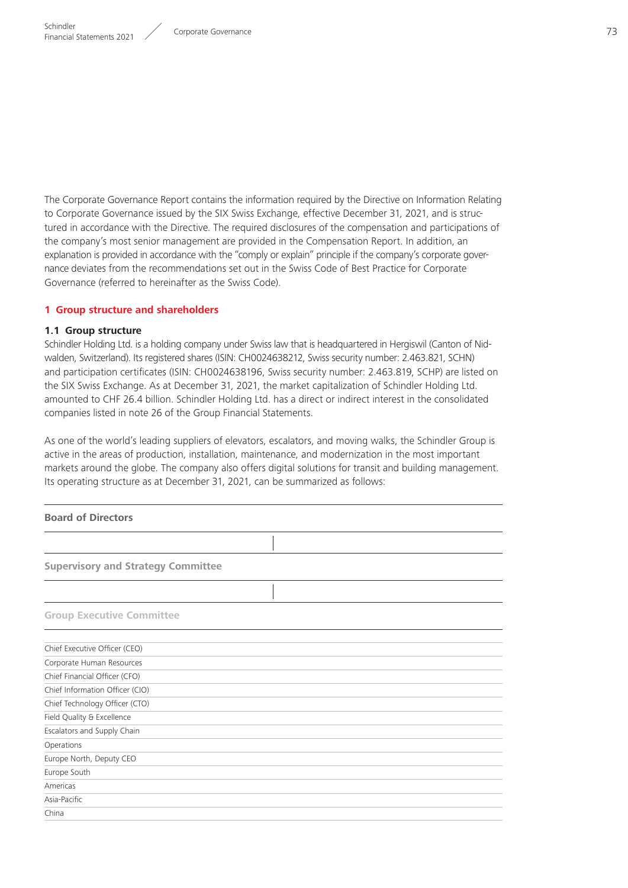<span id="page-1-0"></span>The Corporate Governance Report contains the information required by the Directive on Information Relating to Corporate Governance issued by the SIX Swiss Exchange, effective December 31, 2021, and is structured in accordance with the Directive. The required disclosures of the compensation and participations of the company's most senior management are provided in the Compensation Report. In addition, an explanation is provided in accordance with the "comply or explain" principle if the company's corporate governance deviates from the recommendations set out in the Swiss Code of Best Practice for Corporate Governance (referred to hereinafter as the Swiss Code).

#### **1 Group structure and shareholders**

#### **1.1 Group structure**

Schindler Holding Ltd. is a holding company under Swiss law that is headquartered in Hergiswil (Canton of Nidwalden, Switzerland). Its registered shares (ISIN: CH0024638212, Swiss security number: 2.463.821, SCHN) and participation certificates (ISIN: CH0024638196, Swiss security number: 2.463.819, SCHP) are listed on the SIX Swiss Exchange. As at December 31, 2021, the market capitalization of Schindler Holding Ltd. amounted to CHF 26.4 billion. Schindler Holding Ltd. has a direct or indirect interest in the consolidated companies listed in note 26 of the Group Financial Statements.

As one of the world's leading suppliers of elevators, escalators, and moving walks, the Schindler Group is active in the areas of production, installation, maintenance, and modernization in the most important markets around the globe. The company also offers digital solutions for transit and building management. Its operating structure as at December 31, 2021, can be summarized as follows:

| <b>Board of Directors</b>                 |
|-------------------------------------------|
|                                           |
| <b>Supervisory and Strategy Committee</b> |
|                                           |
| <b>Group Executive Committee</b>          |
| Chief Executive Officer (CEO)             |
| Corporate Human Resources                 |
| Chief Financial Officer (CFO)             |
| Chief Information Officer (CIO)           |
| Chief Technology Officer (CTO)            |
| Field Quality & Excellence                |
| Escalators and Supply Chain               |
| Operations                                |
| Europe North, Deputy CEO                  |
| Europe South                              |
| Americas                                  |
| Asia-Pacific                              |
| China                                     |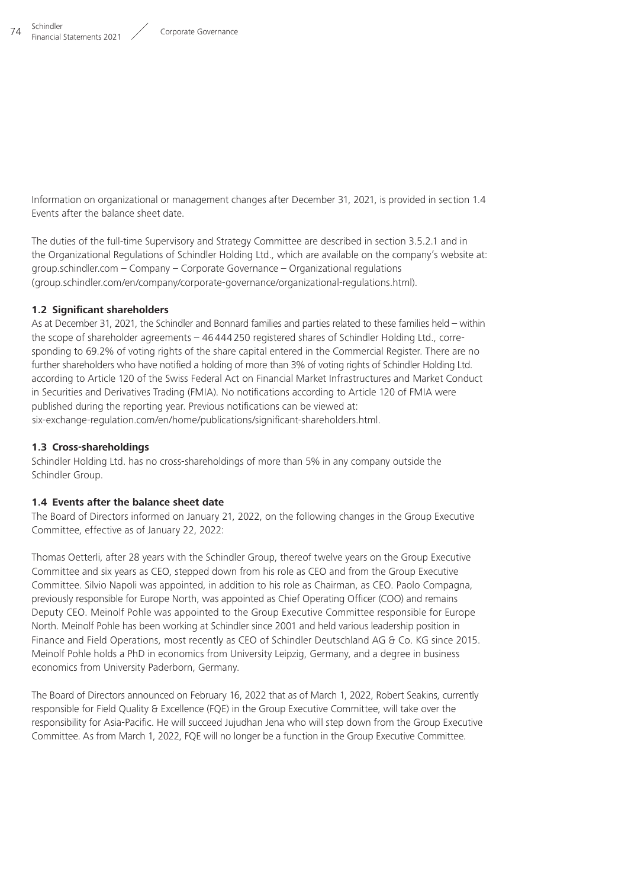Information on organizational or management changes after December 31, 2021, is provided in section 1.4 Events after the balance sheet date.

The duties of the full-time Supervisory and Strategy Committee are described in section 3.5.2.1 and in the Organizational Regulations of Schindler Holding Ltd., which are available on the company's website at:  $group.schindler.com - Company - Corporate Government - Organizational regulations$ (group.schindler.com/en/company/corporate-governance/organizational-regulations.html).

### **1.2 Significant shareholders**

As at December 31, 2021, the Schindler and Bonnard families and parties related to these families held – within the scope of shareholder agreements – 46444250 registered shares of Schindler Holding Ltd., corresponding to 69.2% of voting rights of the share capital entered in the Commercial Register. There are no further shareholders who have notified a holding of more than 3% of voting rights of Schindler Holding Ltd. according to Article 120 of the Swiss Federal Act on Financial Market Infrastructures and Market Conduct in Securities and Derivatives Trading (FMIA). No notifications according to Article 120 of FMIA were published during the reporting year. Previous notifications can be viewed at: six-exchange-regulation.com/en/home/publications/significant-shareholders.html.

### **1.3 Cross-shareholdings**

Schindler Holding Ltd. has no cross-shareholdings of more than 5% in any company outside the Schindler Group.

### **1.4 Events after the balance sheet date**

The Board of Directors informed on January 21, 2022, on the following changes in the Group Executive Committee, effective as of January 22, 2022:

Thomas Oetterli, after 28 years with the Schindler Group, thereof twelve years on the Group Executive Committee and six years as CEO, stepped down from his role as CEO and from the Group Executive Committee. Silvio Napoli was appointed, in addition to his role as Chairman, as CEO. Paolo Compagna, previously responsible for Europe North, was appointed as Chief Operating Officer (COO) and remains Deputy CEO. Meinolf Pohle was appointed to the Group Executive Committee responsible for Europe North. Meinolf Pohle has been working at Schindler since 2001 and held various leadership position in Finance and Field Operations, most recently as CEO of Schindler Deutschland AG & Co. KG since 2015. Meinolf Pohle holds a PhD in economics from University Leipzig, Germany, and a degree in business economics from University Paderborn, Germany.

The Board of Directors announced on February 16, 2022 that as of March 1, 2022, Robert Seakins, currently responsible for Field Quality & Excellence (FQE) in the Group Executive Committee, will take over the responsibility for Asia-Pacific. He will succeed Jujudhan Jena who will step down from the Group Executive Committee. As from March 1, 2022, FQE will no longer be a function in the Group Executive Committee.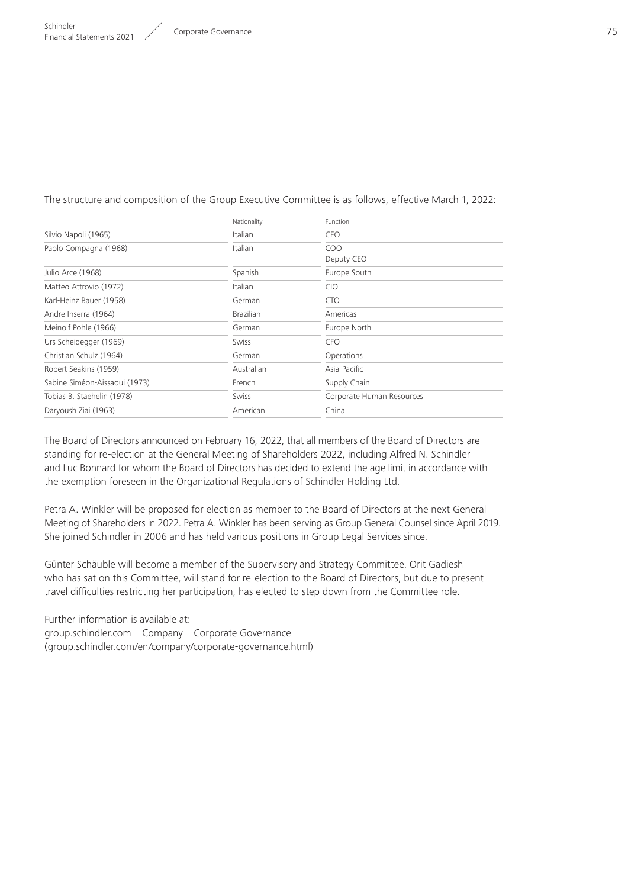#### The structure and composition of the Group Executive Committee is as follows, effective March 1, 2022:

|                               | Nationality      | Function                  |
|-------------------------------|------------------|---------------------------|
| Silvio Napoli (1965)          | Italian          | <b>CEO</b>                |
| Paolo Compagna (1968)         | Italian          | CO <sub>O</sub>           |
|                               |                  | Deputy CEO                |
| Julio Arce (1968)             | Spanish          | Europe South              |
| Matteo Attrovio (1972)        | Italian          | <b>CIO</b>                |
| Karl-Heinz Bauer (1958)       | German           | <b>CTO</b>                |
| Andre Inserra (1964)          | <b>Brazilian</b> | Americas                  |
| Meinolf Pohle (1966)          | German           | Europe North              |
| Urs Scheidegger (1969)        | Swiss            | <b>CFO</b>                |
| Christian Schulz (1964)       | German           | Operations                |
| Robert Seakins (1959)         | Australian       | Asia-Pacific              |
| Sabine Siméon-Aissaoui (1973) | French           | Supply Chain              |
| Tobias B. Staehelin (1978)    | Swiss            | Corporate Human Resources |
| Daryoush Ziai (1963)          | American         | China                     |
|                               |                  |                           |

The Board of Directors announced on February 16, 2022, that all members of the Board of Directors are standing for re-election at the General Meeting of Shareholders 2022, including Alfred N. Schindler and Luc Bonnard for whom the Board of Directors has decided to extend the age limit in accordance with the exemption foreseen in the Organizational Regulations of Schindler Holding Ltd.

Petra A. Winkler will be proposed for election as member to the Board of Directors at the next General Meeting of Shareholders in 2022. Petra A. Winkler has been serving as Group General Counsel since April 2019. She joined Schindler in 2006 and has held various positions in Group Legal Services since.

Günter Schäuble will become a member of the Supervisory and Strategy Committee. Orit Gadiesh who has sat on this Committee, will stand for re-election to the Board of Directors, but due to present travel difficulties restricting her participation, has elected to step down from the Committee role.

Further information is available at:  $qroup.schindler.com - Company - Corporate Government$ (group.schindler.com/en/company/corporate-governance.html)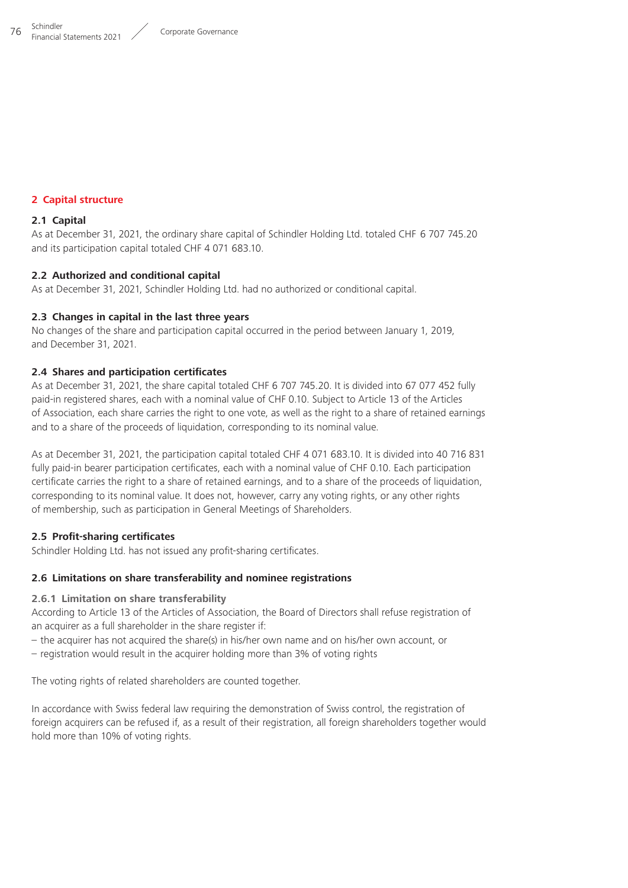#### <span id="page-4-0"></span>**2 Capital structure**

#### **2.1 Capital**

As at December 31, 2021, the ordinary share capital of Schindler Holding Ltd. totaled CHF 6 707 745.20 and its participation capital totaled CHF 4 071 683.10.

#### **2.2 Authorized and conditional capital**

As at December 31, 2021, Schindler Holding Ltd. had no authorized or conditional capital.

#### **2.3 Changes in capital in the last three years**

No changes of the share and participation capital occurred in the period between January 1, 2019, and December 31, 2021.

#### **2.4 Shares and participation certificates**

As at December 31, 2021, the share capital totaled CHF 6 707 745.20. It is divided into 67 077 452 fully paid-in registered shares, each with a nominal value of CHF 0.10. Subject to Article 13 of the Articles of Association, each share carries the right to one vote, as well as the right to a share of retained earnings and to a share of the proceeds of liquidation, corresponding to its nominal value.

As at December 31, 2021, the participation capital totaled CHF 4 071 683.10. It is divided into 40 716 831 fully paid-in bearer participation certificates, each with a nominal value of CHF 0.10. Each participation certificate carries the right to a share of retained earnings, and to a share of the proceeds of liquidation, corresponding to its nominal value. It does not, however, carry any voting rights, or any other rights of membership, such as participation in General Meetings of Shareholders.

### **2.5 Profit-sharing certificates**

Schindler Holding Ltd. has not issued any profit-sharing certificates.

#### **2.6 Limitations on share transferability and nominee registrations**

#### **2.6.1 Limitation on share transferability**

According to Article 13 of the Articles of Association, the Board of Directors shall refuse registration of an acquirer as a full shareholder in the share register if:

– the acquirer has not acquired the share(s) in his/her own name and on his/her own account, or

– registration would result in the acquirer holding more than 3% of voting rights

The voting rights of related shareholders are counted together.

In accordance with Swiss federal law requiring the demonstration of Swiss control, the registration of foreign acquirers can be refused if, as a result of their registration, all foreign shareholders together would hold more than 10% of voting rights.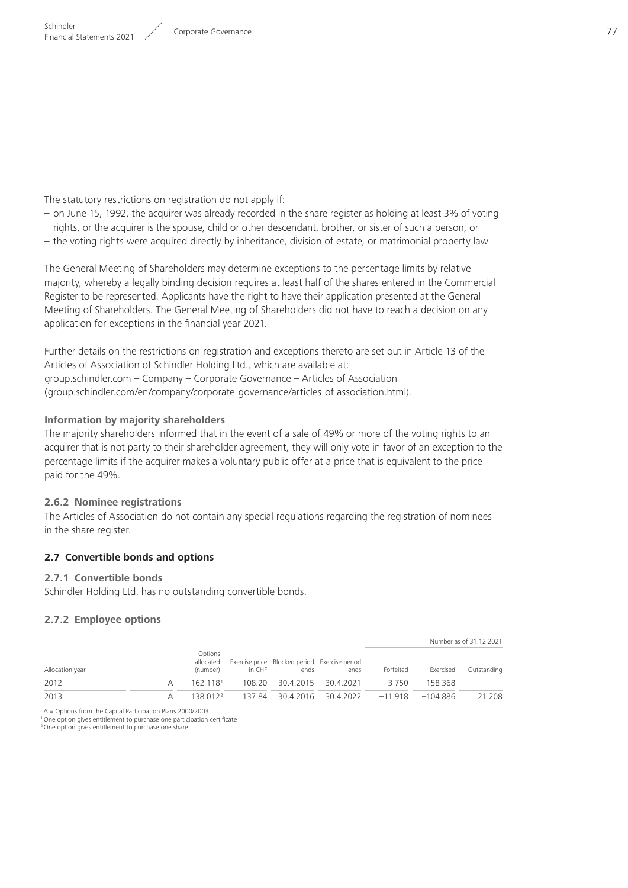The statutory restrictions on registration do not apply if:

- on June 15, 1992, the acquirer was already recorded in the share register as holding at least 3% of voting rights, or the acquirer is the spouse, child or other descendant, brother, or sister of such a person, or – the voting rights were acquired directly by inheritance, division of estate, or matrimonial property law
- The General Meeting of Shareholders may determine exceptions to the percentage limits by relative majority, whereby a legally binding decision requires at least half of the shares entered in the Commercial Register to be represented. Applicants have the right to have their application presented at the General Meeting of Shareholders. The General Meeting of Shareholders did not have to reach a decision on any application for exceptions in the financial year 2021.

Further details on the restrictions on registration and exceptions thereto are set out in Article 13 of the Articles of Association of Schindler Holding Ltd., which are available at: https://group.schindler.com – Company – Corporate Governance – Articles of Association ( group.schindler.com/en/company/corporate-governance/articles-of-association.html).

### **Information by majority shareholders**

The majority shareholders informed that in the event of a sale of 49% or more of the voting rights to an acquirer that is not party to their shareholder agreement, they will only vote in favor of an exception to the percentage limits if the acquirer makes a voluntary public offer at a price that is equivalent to the price paid for the 49%.

### **2.6.2 Nominee registrations**

The Articles of Association do not contain any special regulations regarding the registration of nominees in the share register.

### **2.7 Convertible bonds and options**

### **2.7.1 Convertible bonds**

Schindler Holding Ltd. has no outstanding convertible bonds.

### **2.7.2 Employee options**

|                 |   |                                  |        |                                                       |                                                          |           |           | Number as of 31.12.2021 |
|-----------------|---|----------------------------------|--------|-------------------------------------------------------|----------------------------------------------------------|-----------|-----------|-------------------------|
| Allocation year |   | Options<br>allocated<br>(number) | in CHF | Exercise price Blocked period Exercise period<br>ends | ends                                                     | Forfeited | Exercised | Outstanding             |
| 2012            | А | 162 1181                         |        |                                                       | $108.20$ $30.4.2015$ $30.4.2021$ $-3.750$ $-158.368$     |           |           |                         |
| 2013            | А |                                  |        |                                                       | $138\,012^2$ 137.84 30.4.2016 30.4.2022 -11 918 -104 886 |           |           | 21 208                  |

A = Options from the Capital Participation Plans 2000/2003

1One option gives entitlement to purchase one participation certificate

<sup>2</sup> One option gives entitlement to purchase one share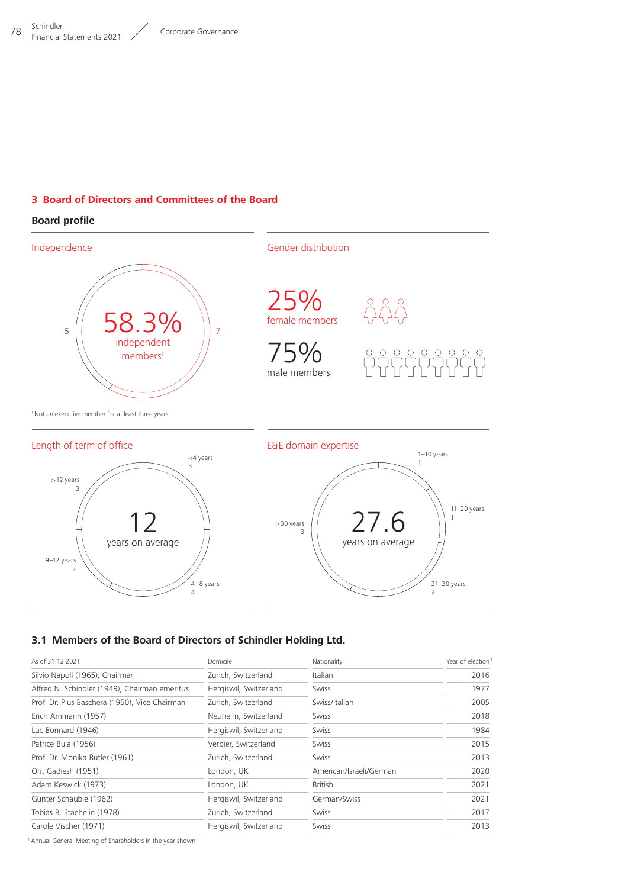## <span id="page-6-0"></span>**3 Board of Directors and Committees of the Board**

## **Board profile**



### **3.1 Members of the Board of Directors of Schindler Holding Ltd.**

| As of 31.12.2021                              | Domicile               | Nationality             | Year of election <sup>1</sup> |
|-----------------------------------------------|------------------------|-------------------------|-------------------------------|
| Silvio Napoli (1965), Chairman                | Zurich, Switzerland    | Italian                 | 2016                          |
| Alfred N. Schindler (1949), Chairman emeritus | Hergiswil, Switzerland | Swiss                   | 1977                          |
| Prof. Dr. Pius Baschera (1950), Vice Chairman | Zurich, Switzerland    | Swiss/Italian           | 2005                          |
| Erich Ammann (1957)                           | Neuheim, Switzerland   | Swiss                   | 2018                          |
| Luc Bonnard (1946)                            | Hergiswil, Switzerland | Swiss                   | 1984                          |
| Patrice Bula (1956)                           | Verbier, Switzerland   | Swiss                   | 2015                          |
| Prof. Dr. Monika Bütler (1961)                | Zurich, Switzerland    | Swiss                   | 2013                          |
| Orit Gadiesh (1951)                           | London, UK             | American/Israeli/German | 2020                          |
| Adam Keswick (1973)                           | London, UK             | <b>British</b>          | 2021                          |
| Günter Schäuble (1962)                        | Hergiswil, Switzerland | German/Swiss            | 2021                          |
| Tobias B. Staehelin (1978)                    | Zurich, Switzerland    | Swiss                   | 2017                          |
| Carole Vischer (1971)                         | Hergiswil, Switzerland | Swiss                   | 2013                          |

1Annual General Meeting of Shareholders in the year shown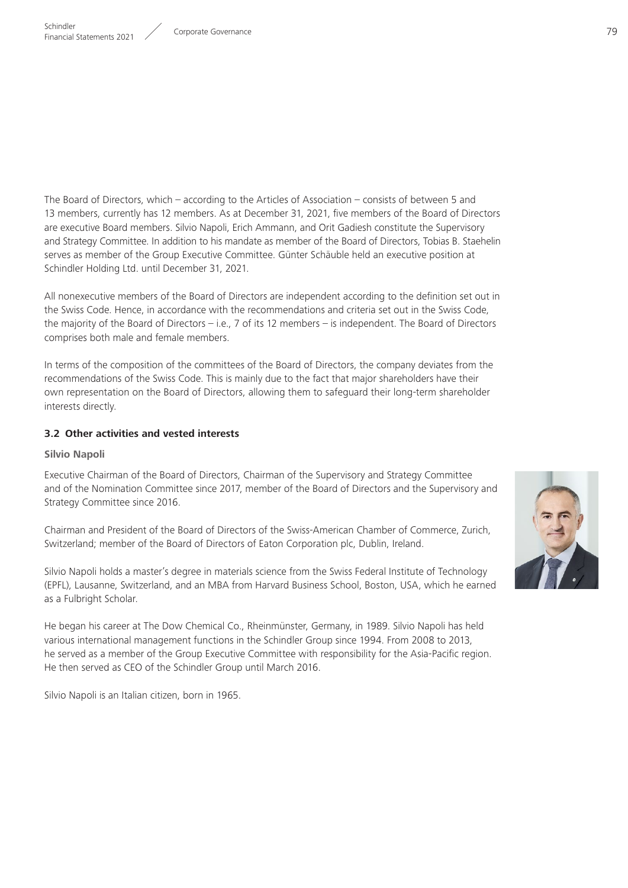The Board of Directors, which – according to the Articles of Association – consists of between 5 and 13 members, currently has 12 members. As at December 31, 2021, five members of the Board of Directors are executive Board members. Silvio Napoli, Erich Ammann, and Orit Gadiesh constitute the Supervisory and Strategy Committee. In addition to his mandate as member of the Board of Directors, Tobias B. Staehelin serves as member of the Group Executive Committee. Günter Schäuble held an executive position at Schindler Holding Ltd. until December 31, 2021.

All nonexecutive members of the Board of Directors are independent according to the definition set out in the Swiss Code. Hence, in accordance with the recommendations and criteria set out in the Swiss Code, the majority of the Board of Directors – i.e., 7 of its 12 members – is independent. The Board of Directors comprises both male and female members.

In terms of the composition of the committees of the Board of Directors, the company deviates from the recommendations of the Swiss Code. This is mainly due to the fact that major shareholders have their own representation on the Board of Directors, allowing them to safeguard their long-term shareholder interests directly.

#### **3.2 Other activities and vested interests**

#### **Silvio Napoli**

Executive Chairman of the Board of Directors, Chairman of the Supervisory and Strategy Committee and of the Nomination Committee since 2017, member of the Board of Directors and the Supervisory and Strategy Committee since 2016.

Chairman and President of the Board of Directors of the Swiss-American Chamber of Commerce, Zurich, Switzerland; member of the Board of Directors of Eaton Corporation plc, Dublin, Ireland.

Silvio Napoli holds a master's degree in materials science from the Swiss Federal Institute of Technology (EPFL), Lausanne, Switzerland, and an MBA from Harvard Business School, Boston, USA, which he earned as a Fulbright Scholar.

He began his career at The Dow Chemical Co., Rheinmünster, Germany, in 1989. Silvio Napoli has held various international management functions in the Schindler Group since 1994. From 2008 to 2013, he served as a member of the Group Executive Committee with responsibility for the Asia-Pacific region. He then served as CEO of the Schindler Group until March 2016.

Silvio Napoli is an Italian citizen, born in 1965.

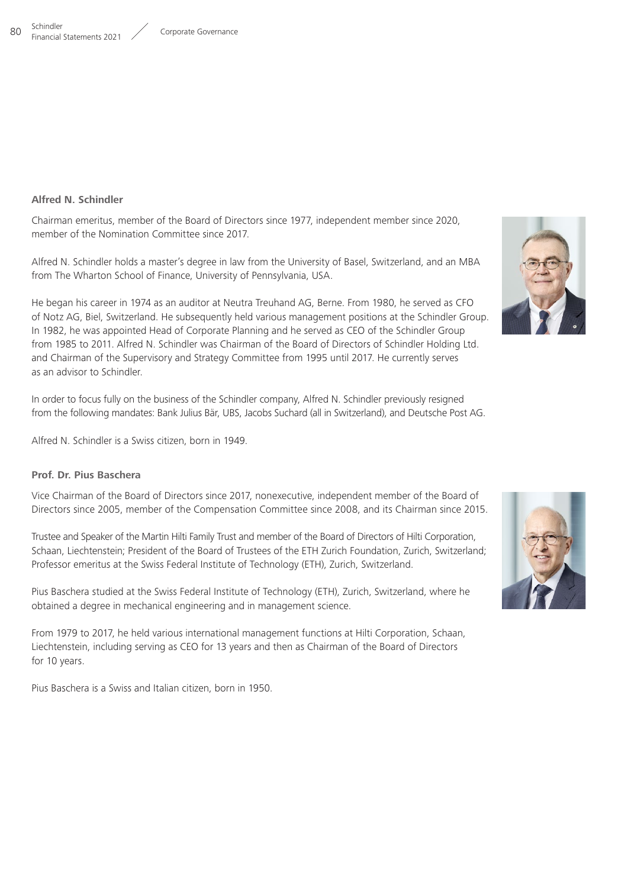#### **Schindler** 80 Schiffuler<br>Financial Statements 2021 / Corporate Governance

### **Alfred N. Schindler**

Chairman emeritus, member of the Board of Directors since 1977, independent member since 2020, member of the Nomination Committee since 2017.

Alfred N. Schindler holds a master's degree in law from the University of Basel, Switzerland, and an MBA from The Wharton School of Finance, University of Pennsylvania, USA.

He began his career in 1974 as an auditor at Neutra Treuhand AG, Berne. From 1980, he served as CFO of Notz AG, Biel, Switzerland. He subsequently held various management positions at the Schindler Group. In 1982, he was appointed Head of Corporate Planning and he served as CEO of the Schindler Group from 1985 to 2011. Alfred N. Schindler was Chairman of the Board of Directors of Schindler Holding Ltd. and Chairman of the Supervisory and Strategy Committee from 1995 until 2017. He currently serves as an advisor to Schindler.

In order to focus fully on the business of the Schindler company, Alfred N. Schindler previously resigned from the following mandates: Bank Julius Bär, UBS, Jacobs Suchard (all in Switzerland), and Deutsche Post AG.

Alfred N. Schindler is a Swiss citizen, born in 1949.

### **Prof. Dr. Pius Baschera**

Vice Chairman of the Board of Directors since 2017, nonexecutive, independent member of the Board of Directors since 2005, member of the Compensation Committee since 2008, and its Chairman since 2015.

Trustee and Speaker of the Martin Hilti Family Trust and member of the Board of Directors of Hilti Corporation, Schaan, Liechtenstein; President of the Board of Trustees of the ETH Zurich Foundation, Zurich, Switzerland; Professor emeritus at the Swiss Federal Institute of Technology (ETH), Zurich, Switzerland.

Pius Baschera studied at the Swiss Federal Institute of Technology (ETH), Zurich, Switzerland, where he obtained a degree in mechanical engineering and in management science.

From 1979 to 2017, he held various international management functions at Hilti Corporation, Schaan, Liechtenstein, including serving as CEO for 13 years and then as Chairman of the Board of Directors for 10 years.

Pius Baschera is a Swiss and Italian citizen, born in 1950.





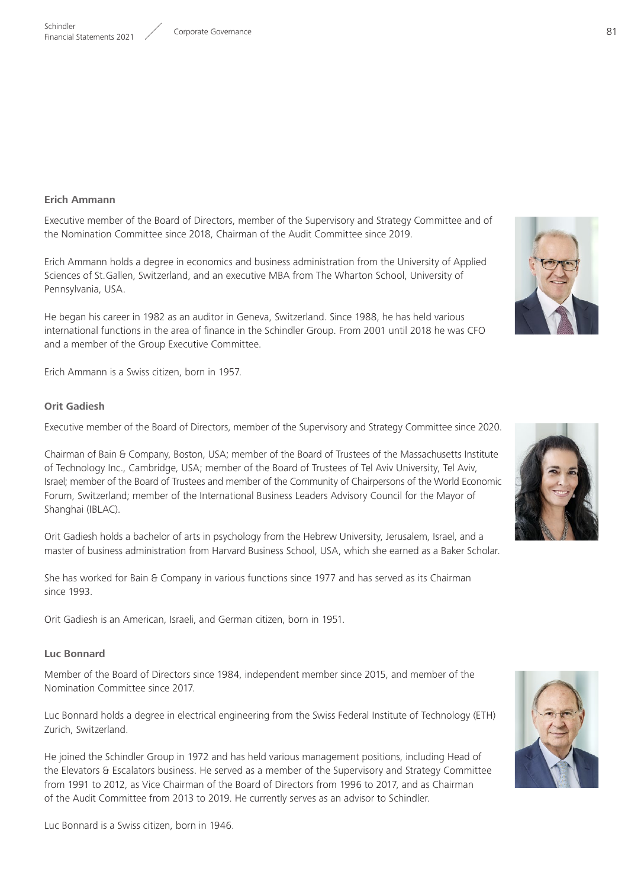#### **Erich Ammann**

Executive member of the Board of Directors, member of the Supervisory and Strategy Committee and of the Nomination Committee since 2018, Chairman of the Audit Committee since 2019.

Erich Ammann holds a degree in economics and business administration from the University of Applied Sciences of St.Gallen, Switzerland, and an executive MBA from The Wharton School, University of Pennsylvania, USA.

He began his career in 1982 as an auditor in Geneva, Switzerland. Since 1988, he has held various international functions in the area of finance in the Schindler Group. From 2001 until 2018 he was CFO and a member of the Group Executive Committee.

Erich Ammann is a Swiss citizen, born in 1957.

#### **Orit Gadiesh**

Executive member of the Board of Directors, member of the Supervisory and Strategy Committee since 2020.

Chairman of Bain & Company, Boston, USA; member of the Board of Trustees of the Massachusetts Institute of Technology Inc., Cambridge, USA; member of the Board of Trustees of Tel Aviv University, Tel Aviv, Israel; member of the Board of Trustees and member of the Community of Chairpersons of the World Economic Forum, Switzerland; member of the International Business Leaders Advisory Council for the Mayor of Shanghai (IBLAC).

Orit Gadiesh holds a bachelor of arts in psychology from the Hebrew University, Jerusalem, Israel, and a master of business administration from Harvard Business School, USA, which she earned as a Baker Scholar.

She has worked for Bain & Company in various functions since 1977 and has served as its Chairman since 1993.

Orit Gadiesh is an American, Israeli, and German citizen, born in 1951.

#### **Luc Bonnard**

Member of the Board of Directors since 1984, independent member since 2015, and member of the Nomination Committee since 2017.

Luc Bonnard holds a degree in electrical engineering from the Swiss Federal Institute of Technology (ETH) Zurich, Switzerland.

He joined the Schindler Group in 1972 and has held various management positions, including Head of the Elevators & Escalators business. He served as a member of the Supervisory and Strategy Committee from 1991 to 2012, as Vice Chairman of the Board of Directors from 1996 to 2017, and as Chairman of the Audit Committee from 2013 to 2019. He currently serves as an advisor to Schindler.



Luc Bonnard is a Swiss citizen, born in 1946.

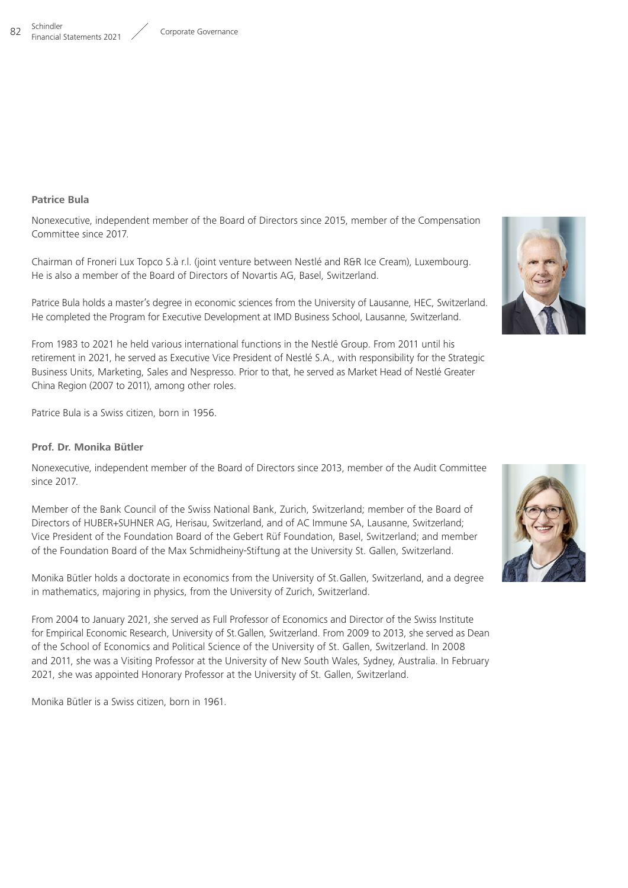

#### **Patrice Bula**

Nonexecutive, independent member of the Board of Directors since 2015, member of the Compensation Committee since 2017.

Chairman of Froneri Lux Topco S.à r.l. (joint venture between Nestlé and R&R Ice Cream), Luxembourg. He is also a member of the Board of Directors of Novartis AG, Basel, Switzerland.

Patrice Bula holds a master's degree in economic sciences from the University of Lausanne, HEC, Switzerland. He completed the Program for Executive Development at IMD Business School, Lausanne, Switzerland.



From 1983 to 2021 he held various international functions in the Nestlé Group. From 2011 until his retirement in 2021, he served as Executive Vice President of Nestlé S.A., with responsibility for the Strategic Business Units, Marketing, Sales and Nespresso. Prior to that, he served as Market Head of Nestlé Greater China Region (2007 to 2011), among other roles.

Patrice Bula is a Swiss citizen, born in 1956.

#### **Prof. Dr. Monika Bütler**

Nonexecutive, independent member of the Board of Directors since 2013, member of the Audit Committee since 2017.

Member of the Bank Council of the Swiss National Bank, Zurich, Switzerland; member of the Board of Directors of HUBER+SUHNER AG, Herisau, Switzerland, and of AC Immune SA, Lausanne, Switzerland; Vice President of the Foundation Board of the Gebert Rüf Foundation, Basel, Switzerland; and member of the Foundation Board of the Max Schmidheiny-Stiftung at the University St. Gallen, Switzerland.

Monika Bütler holds a doctorate in economics from the University of St.Gallen, Switzerland, and a degree in mathematics, majoring in physics, from the University of Zurich, Switzerland.

From 2004 to January 2021, she served as Full Professor of Economics and Director of the Swiss Institute for Empirical Economic Research, University of St.Gallen, Switzerland. From 2009 to 2013, she served as Dean of the School of Economics and Political Science of the University of St. Gallen, Switzerland. In 2008 and 2011, she was a Visiting Professor at the University of New South Wales, Sydney, Australia. In February 2021, she was appointed Honorary Professor at the University of St. Gallen, Switzerland.

Monika Bütler is a Swiss citizen, born in 1961.

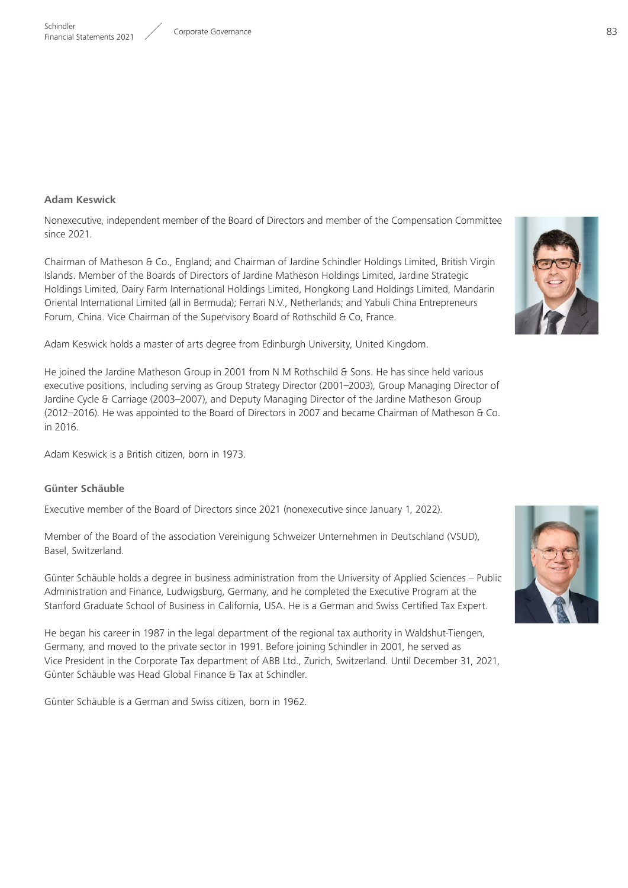### **Adam Keswick**

Nonexecutive, independent member of the Board of Directors and member of the Compensation Committee since 2021.

Chairman of Matheson & Co., England; and Chairman of Jardine Schindler Holdings Limited, British Virgin Islands. Member of the Boards of Directors of Jardine Matheson Holdings Limited, Jardine Strategic Holdings Limited, Dairy Farm International Holdings Limited, Hongkong Land Holdings Limited, Mandarin Oriental International Limited (all in Bermuda); Ferrari N.V., Netherlands; and Yabuli China Entrepreneurs Forum, China. Vice Chairman of the Supervisory Board of Rothschild & Co, France.

Adam Keswick holds a master of arts degree from Edinburgh University, United Kingdom.

He joined the Jardine Matheson Group in 2001 from N M Rothschild & Sons. He has since held various executive positions, including serving as Group Strategy Director (2001–2003), Group Managing Director of Jardine Cycle & Carriage (2003–2007), and Deputy Managing Director of the Jardine Matheson Group (2012–2016). He was appointed to the Board of Directors in 2007 and became Chairman of Matheson & Co. in 2016.

Adam Keswick is a British citizen, born in 1973.

### **Günter Schäuble**

Executive member of the Board of Directors since 2021 (nonexecutive since January 1, 2022).

Member of the Board of the association Vereinigung Schweizer Unternehmen in Deutschland (VSUD), Basel, Switzerland.

Günter Schäuble holds a degree in business administration from the University of Applied Sciences – Public Administration and Finance, Ludwigsburg, Germany, and he completed the Executive Program at the Stanford Graduate School of Business in California, USA. He is a German and Swiss Certified Tax Expert.

He began his career in 1987 in the legal department of the regional tax authority in Waldshut-Tiengen, Germany, and moved to the private sector in 1991. Before joining Schindler in 2001, he served as Vice President in the Corporate Tax department of ABB Ltd., Zurich, Switzerland. Until December 31, 2021, Günter Schäuble was Head Global Finance & Tax at Schindler.

Günter Schäuble is a German and Swiss citizen, born in 1962.



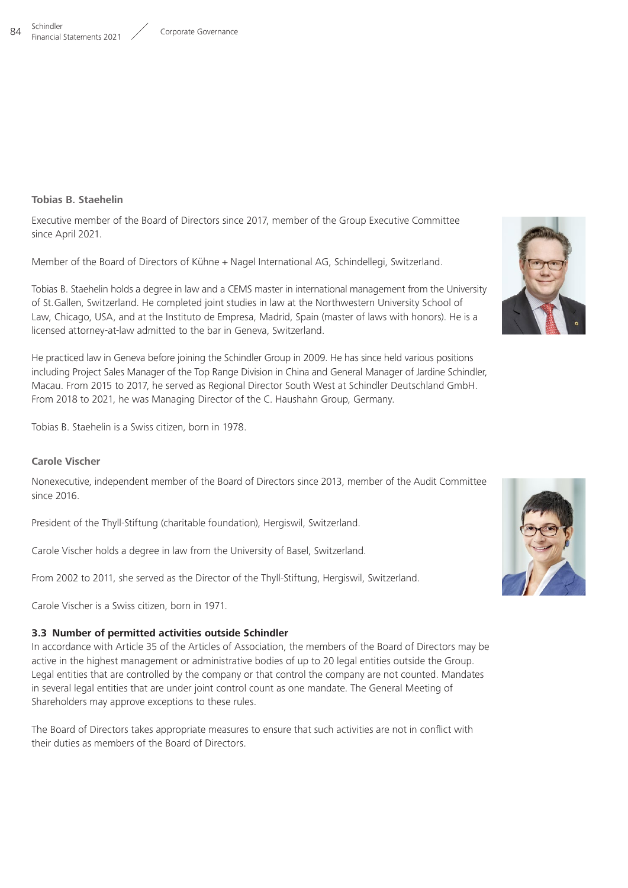## **Tobias B. Staehelin**

Executive member of the Board of Directors since 2017, member of the Group Executive Committee since April 2021.

Member of the Board of Directors of Kühne + Nagel International AG, Schindellegi, Switzerland.

Tobias B. Staehelin holds a degree in law and a CEMS master in international management from the University of St.Gallen, Switzerland. He completed joint studies in law at the Northwestern University School of Law, Chicago, USA, and at the Instituto de Empresa, Madrid, Spain (master of laws with honors). He is a licensed attorney-at-law admitted to the bar in Geneva, Switzerland.

He practiced law in Geneva before joining the Schindler Group in 2009. He has since held various positions including Project Sales Manager of the Top Range Division in China and General Manager of Jardine Schindler, Macau. From 2015 to 2017, he served as Regional Director South West at Schindler Deutschland GmbH. From 2018 to 2021, he was Managing Director of the C. Haushahn Group, Germany.

Tobias B. Staehelin is a Swiss citizen, born in 1978.

## **Carole Vischer**

Nonexecutive, independent member of the Board of Directors since 2013, member of the Audit Committee since 2016.

President of the Thyll-Stiftung (charitable foundation), Hergiswil, Switzerland.

Carole Vischer holds a degree in law from the University of Basel, Switzerland.

From 2002 to 2011, she served as the Director of the Thyll-Stiftung, Hergiswil, Switzerland.

Carole Vischer is a Swiss citizen, born in 1971.

# **3.3 Number of permitted activities outside Schindler**

In accordance with Article 35 of the Articles of Association, the members of the Board of Directors may be active in the highest management or administrative bodies of up to 20 legal entities outside the Group. Legal entities that are controlled by the company or that control the company are not counted. Mandates in several legal entities that are under joint control count as one mandate. The General Meeting of Shareholders may approve exceptions to these rules.

The Board of Directors takes appropriate measures to ensure that such activities are not in conflict with their duties as members of the Board of Directors.



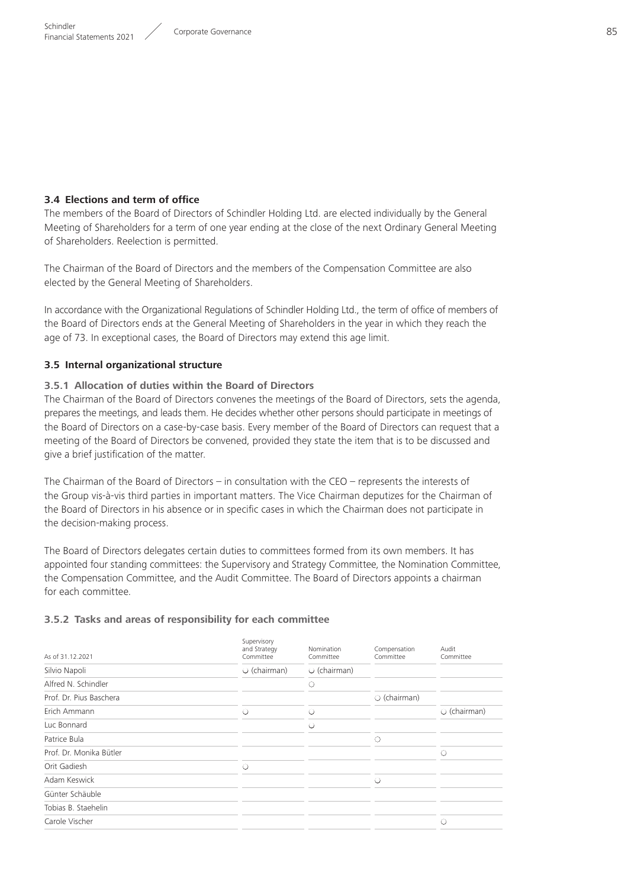## **3.4 Elections and term of office**

The members of the Board of Directors of Schindler Holding Ltd. are elected individually by the General Meeting of Shareholders for a term of one year ending at the close of the next Ordinary General Meeting of Shareholders. Reelection is permitted.

The Chairman of the Board of Directors and the members of the Compensation Committee are also elected by the General Meeting of Shareholders.

In accordance with the Organizational Regulations of Schindler Holding Ltd., the term of office of members of the Board of Directors ends at the General Meeting of Shareholders in the year in which they reach the age of 73. In exceptional cases, the Board of Directors may extend this age limit.

## **3.5 Internal organizational structure**

## **3.5.1 Allocation of duties within the Board of Directors**

The Chairman of the Board of Directors convenes the meetings of the Board of Directors, sets the agenda, prepares the meetings, and leads them. He decides whether other persons should participate in meetings of the Board of Directors on a case-by-case basis. Every member of the Board of Directors can request that a meeting of the Board of Directors be convened, provided they state the item that is to be discussed and give a brief justification of the matter.

The Chairman of the Board of Directors – in consultation with the CEO – represents the interests of the Group vis-à-vis third parties in important matters. The Vice Chairman deputizes for the Chairman of the Board of Directors in his absence or in specific cases in which the Chairman does not participate in the decision-making process.

The Board of Directors delegates certain duties to committees formed from its own members. It has appointed four standing committees: the Supervisory and Strategy Committee, the Nomination Committee, the Compensation Committee, and the Audit Committee. The Board of Directors appoints a chairman for each committee.

## **3.5.2 Tasks and areas of responsibility for each committee**

| As of 31.12.2021        | Supervisory<br>and Strategy<br>Committee | Nomination<br>Committee | Compensation<br>Committee | Audit<br>Committee |
|-------------------------|------------------------------------------|-------------------------|---------------------------|--------------------|
| Silvio Napoli           | $\circ$ (chairman)                       | $\circ$ (chairman)      |                           |                    |
| Alfred N. Schindler     |                                          | ∩                       |                           |                    |
| Prof. Dr. Pius Baschera |                                          |                         | $\circ$ (chairman)        |                    |
| Erich Ammann            | ∩                                        | O                       |                           | $\circ$ (chairman) |
| Luc Bonnard             |                                          | Ο                       |                           |                    |
| Patrice Bula            |                                          |                         | $\circ$                   |                    |
| Prof. Dr. Monika Bütler |                                          |                         |                           | $\circ$            |
| Orit Gadiesh            | $\circ$                                  |                         |                           |                    |
| Adam Keswick            |                                          |                         | $\bigcirc$                |                    |
| Günter Schäuble         |                                          |                         |                           |                    |
| Tobias B. Staehelin     |                                          |                         |                           |                    |
| Carole Vischer          |                                          |                         |                           | O                  |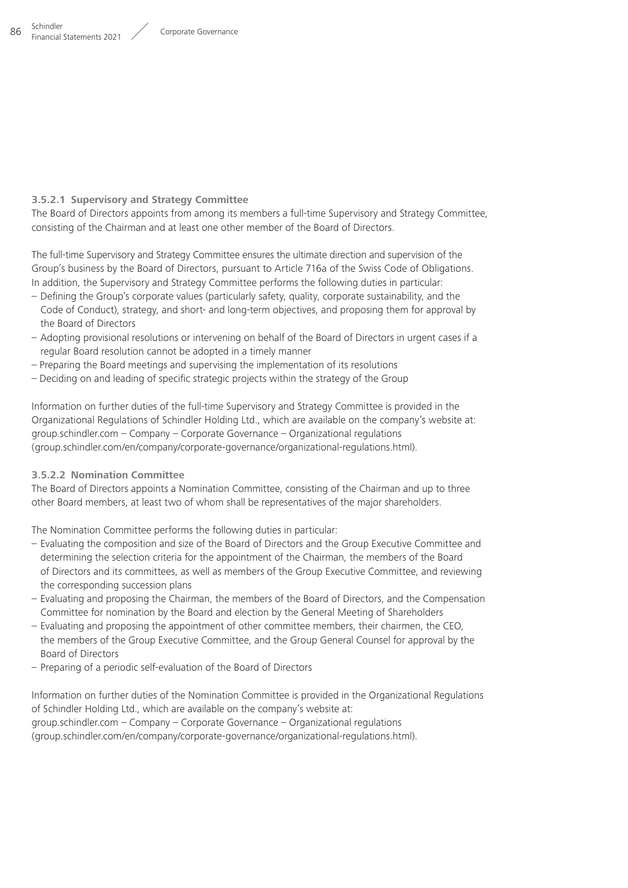### **3.5.2.1 Supervisory and Strategy Committee**

The Board of Directors appoints from among its members a full-time Supervisory and Strategy Committee, consisting of the Chairman and at least one other member of the Board of Directors.

The full-time Supervisory and Strategy Committee ensures the ultimate direction and supervision of the Group's business by the Board of Directors, pursuant to Article 716a of the Swiss Code of Obligations. In addition, the Supervisory and Strategy Committee performs the following duties in particular:

- Defining the Group's corporate values (particularly safety, quality, corporate sustainability, and the Code of Conduct), strategy, and short- and long-term objectives, and proposing them for approval by the Board of Directors
- Adopting provisional resolutions or intervening on behalf of the Board of Directors in urgent cases if a regular Board resolution cannot be adopted in a timely manner
- Preparing the Board meetings and supervising the implementation of its resolutions
- Deciding on and leading of specific strategic projects within the strategy of the Group

Information on further duties of the full-time Supervisory and Strategy Committee is provided in the Organizational Regulations of Schindler Holding Ltd., which are available on the company's website at:  $qroup.schindler.com - Company - Corporate Government - Organizational regulations$ ( group.schindler.com/en/company/corporate-governance/organizational-regulations.html).

### **3.5.2.2 Nomination Committee**

The Board of Directors appoints a Nomination Committee, consisting of the Chairman and up to three other Board members, at least two of whom shall be representatives of the major shareholders.

The Nomination Committee performs the following duties in particular:

- Evaluating the composition and size of the Board of Directors and the Group Executive Committee and determining the selection criteria for the appointment of the Chairman, the members of the Board of Directors and its committees, as well as members of the Group Executive Committee, and reviewing the corresponding succession plans
- Evaluating and proposing the Chairman, the members of the Board of Directors, and the Compensation Committee for nomination by the Board and election by the General Meeting of Shareholders
- Evaluating and proposing the appointment of other committee members, their chairmen, the CEO, the members of the Group Executive Committee, and the Group General Counsel for approval by the Board of Directors
- Preparing of a periodic self-evaluation of the Board of Directors

Information on further duties of the Nomination Committee is provided in the Organizational Regulations of Schindler Holding Ltd., which are available on the company's website at: https://group.schindler.com – Company – Corporate Governance – Organizational regulations ( group.schindler.com/en/company/corporate-governance/organizational-regulations.html).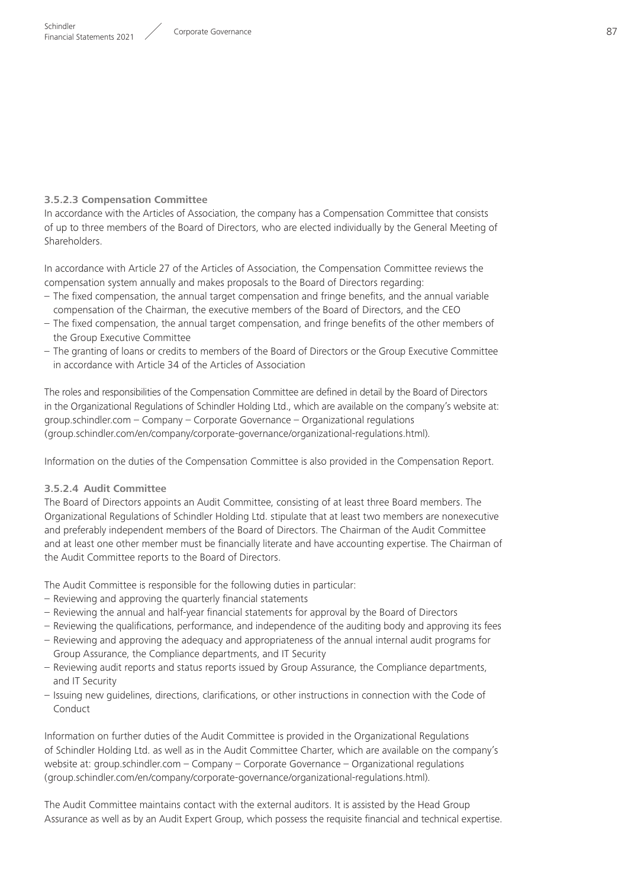## **3.5.2.3 Compensation Committee**

In accordance with the Articles of Association, the company has a Compensation Committee that consists of up to three members of the Board of Directors, who are elected individually by the General Meeting of Shareholders.

In accordance with Article 27 of the Articles of Association, the Compensation Committee reviews the compensation system annually and makes proposals to the Board of Directors regarding:

- The fixed compensation, the annual target compensation and fringe benefits, and the annual variable compensation of the Chairman, the executive members of the Board of Directors, and the CEO
- The fixed compensation, the annual target compensation, and fringe benefits of the other members of the Group Executive Committee
- The granting of loans or credits to members of the Board of Directors or the Group Executive Committee in accordance with Article 34 of the Articles of Association

The roles and responsibilities of the Compensation Committee are defined in detail by the Board of Directors in the Organizational Regulations of Schindler Holding Ltd., which are available on the company's website at: group.schindler.com – Company – Corporate Governance – Organizational regulations ( group.schindler.com/en/company/corporate-governance/organizational-regulations.html).

Information on the duties of the Compensation Committee is also provided in the Compensation Report.

## **3.5.2.4 Audit Committee**

The Board of Directors appoints an Audit Committee, consisting of at least three Board members. The Organizational Regulations of Schindler Holding Ltd. stipulate that at least two members are nonexecutive and preferably independent members of the Board of Directors. The Chairman of the Audit Committee and at least one other member must be financially literate and have accounting expertise. The Chairman of the Audit Committee reports to the Board of Directors.

The Audit Committee is responsible for the following duties in particular:

- Reviewing and approving the quarterly financial statements
- Reviewing the annual and half-year financial statements for approval by the Board of Directors
- Reviewing the qualifications, performance, and independence of the auditing body and approving its fees
- Reviewing and approving the adequacy and appropriateness of the annual internal audit programs for Group Assurance, the Compliance departments, and IT Security
- Reviewing audit reports and status reports issued by Group Assurance, the Compliance departments, and IT Security
- Issuing new guidelines, directions, clarifications, or other instructions in connection with the Code of Conduct

Information on further duties of the Audit Committee is provided in the Organizational Regulations of Schindler Holding Ltd. as well as in the Audit Committee Charter, which are available on the company's website at: group.schindler.com – Company – Corporate Governance – Organizational regulations ( group.schindler.com/en/company/corporate-governance/organizational-regulations.html).

The Audit Committee maintains contact with the external auditors. It is assisted by the Head Group Assurance as well as by an Audit Expert Group, which possess the requisite financial and technical expertise.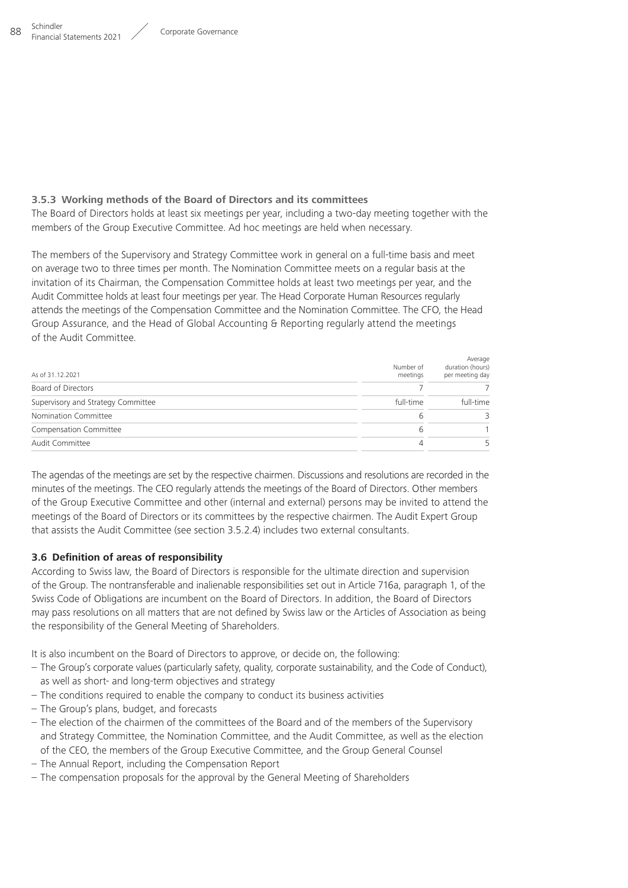#### **3.5.3 Working methods of the Board of Directors and its committees**

The Board of Directors holds at least six meetings per year, including a two-day meeting together with the members of the Group Executive Committee. Ad hoc meetings are held when necessary.

The members of the Supervisory and Strategy Committee work in general on a full-time basis and meet on average two to three times per month. The Nomination Committee meets on a regular basis at the invitation of its Chairman, the Compensation Committee holds at least two meetings per year, and the Audit Committee holds at least four meetings per year. The Head Corporate Human Resources regularly attends the meetings of the Compensation Committee and the Nomination Committee. The CFO, the Head Group Assurance, and the Head of Global Accounting & Reporting regularly attend the meetings of the Audit Committee.

| As of 31.12.2021                   | Number of<br>meetings | Average<br>duration (hours)<br>per meeting day |
|------------------------------------|-----------------------|------------------------------------------------|
| Board of Directors                 |                       |                                                |
| Supervisory and Strategy Committee | full-time             | full-time                                      |
| Nomination Committee               | h                     |                                                |
| Compensation Committee             | h                     |                                                |
| Audit Committee                    | 4                     |                                                |

The agendas of the meetings are set by the respective chairmen. Discussions and resolutions are recorded in the minutes of the meetings. The CEO regularly attends the meetings of the Board of Directors. Other members of the Group Executive Committee and other (internal and external) persons may be invited to attend the meetings of the Board of Directors or its committees by the respective chairmen. The Audit Expert Group that assists the Audit Committee (see section 3.5.2.4) includes two external consultants.

### **3.6 Definition of areas of responsibility**

According to Swiss law, the Board of Directors is responsible for the ultimate direction and supervision of the Group. The nontransferable and inalienable responsibilities set out in Article 716a, paragraph 1, of the Swiss Code of Obligations are incumbent on the Board of Directors. In addition, the Board of Directors may pass resolutions on all matters that are not defined by Swiss law or the Articles of Association as being the responsibility of the General Meeting of Shareholders.

It is also incumbent on the Board of Directors to approve, or decide on, the following:

- The Group's corporate values (particularly safety, quality, corporate sustainability, and the Code of Conduct), as well as short- and long-term objectives and strategy
- The conditions required to enable the company to conduct its business activities
- The Group's plans, budget, and forecasts
- The election of the chairmen of the committees of the Board and of the members of the Supervisory and Strategy Committee, the Nomination Committee, and the Audit Committee, as well as the election of the CEO, the members of the Group Executive Committee, and the Group General Counsel
- The Annual Report, including the Compensation Report
- The compensation proposals for the approval by the General Meeting of Shareholders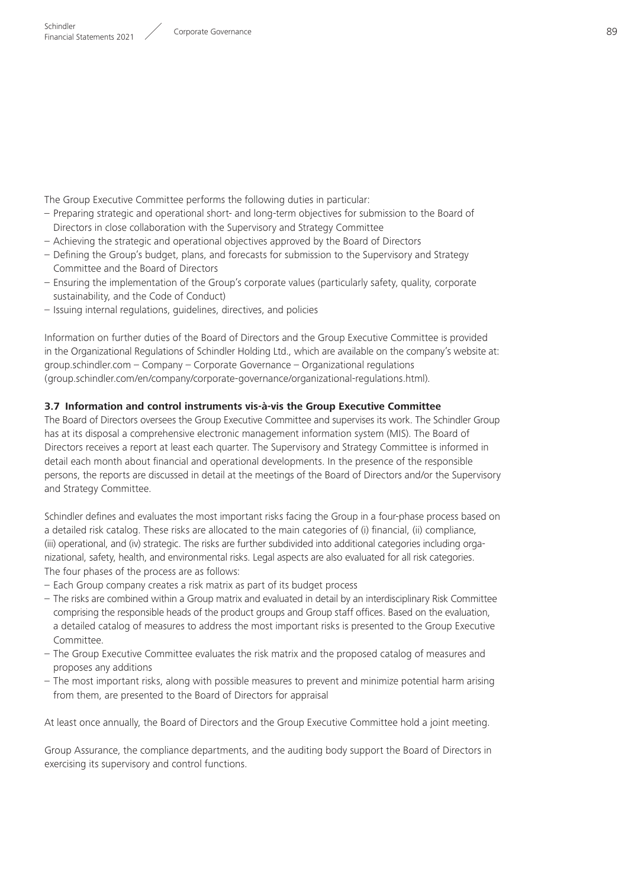The Group Executive Committee performs the following duties in particular:

- Preparing strategic and operational short- and long-term objectives for submission to the Board of Directors in close collaboration with the Supervisory and Strategy Committee
- Achieving the strategic and operational objectives approved by the Board of Directors
- Defining the Group's budget, plans, and forecasts for submission to the Supervisory and Strategy Committee and the Board of Directors
- Ensuring the implementation of the Group's corporate values (particularly safety, quality, corporate sustainability, and the Code of Conduct)
- Issuing internal regulations, guidelines, directives, and policies

Information on further duties of the Board of Directors and the Group Executive Committee is provided in the Organizational Regulations of Schindler Holding Ltd., which are available on the company's website at: group.schindler.com – Company – Corporate Governance – Organizational regulations ( aroup.schindler.com/en/company/corporate-governance/organizational-regulations.html).

#### **3.7 Information and control instruments vis-à-vis the Group Executive Committee**

The Board of Directors oversees the Group Executive Committee and supervises its work. The Schindler Group has at its disposal a comprehensive electronic management information system (MIS). The Board of Directors receives a report at least each quarter. The Supervisory and Strategy Committee is informed in detail each month about financial and operational developments. In the presence of the responsible persons, the reports are discussed in detail at the meetings of the Board of Directors and/or the Supervisory and Strategy Committee.

Schindler defines and evaluates the most important risks facing the Group in a four-phase process based on a detailed risk catalog. These risks are allocated to the main categories of (i) financial, (ii) compliance, (iii) operational, and (iv) strategic. The risks are further subdivided into additional categories including organizational, safety, health, and environmental risks. Legal aspects are also evaluated for all risk categories. The four phases of the process are as follows:

- Each Group company creates a risk matrix as part of its budget process
- The risks are combined within a Group matrix and evaluated in detail by an interdisciplinary Risk Committee comprising the responsible heads of the product groups and Group staff offices. Based on the evaluation, a detailed catalog of measures to address the most important risks is presented to the Group Executive Committee.
- The Group Executive Committee evaluates the risk matrix and the proposed catalog of measures and proposes any additions
- The most important risks, along with possible measures to prevent and minimize potential harm arising from them, are presented to the Board of Directors for appraisal

At least once annually, the Board of Directors and the Group Executive Committee hold a joint meeting.

Group Assurance, the compliance departments, and the auditing body support the Board of Directors in exercising its supervisory and control functions.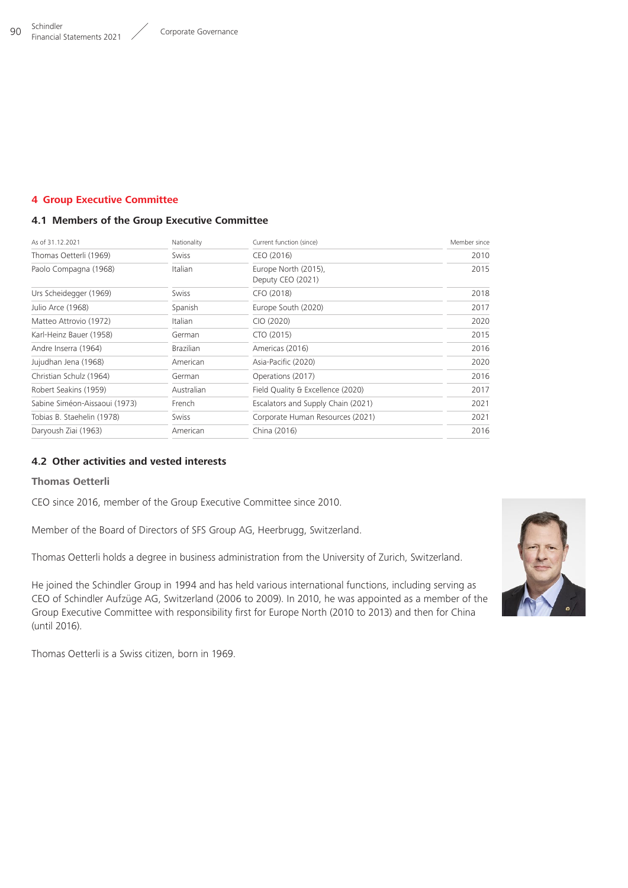## <span id="page-18-0"></span>**4 Group Executive Committee**

## **4.1 Members of the Group Executive Committee**

| As of 31.12.2021              | Nationality      | Current function (since)                  | Member since |
|-------------------------------|------------------|-------------------------------------------|--------------|
| Thomas Oetterli (1969)        | <b>Swiss</b>     | CEO (2016)                                | 2010         |
| Paolo Compagna (1968)         | Italian          | Europe North (2015),<br>Deputy CEO (2021) | 2015         |
| Urs Scheidegger (1969)        | Swiss            | CFO (2018)                                | 2018         |
| Julio Arce (1968)             | Spanish          | Europe South (2020)                       | 2017         |
| Matteo Attrovio (1972)        | Italian          | CIO (2020)                                | 2020         |
| Karl-Heinz Bauer (1958)       | German           | CTO (2015)                                | 2015         |
| Andre Inserra (1964)          | <b>Brazilian</b> | Americas (2016)                           | 2016         |
| Jujudhan Jena (1968)          | American         | Asia-Pacific (2020)                       | 2020         |
| Christian Schulz (1964)       | German           | Operations (2017)                         | 2016         |
| Robert Seakins (1959)         | Australian       | Field Quality & Excellence (2020)         | 2017         |
| Sabine Siméon-Aissaoui (1973) | French           | Escalators and Supply Chain (2021)        | 2021         |
| Tobias B. Staehelin (1978)    | Swiss            | Corporate Human Resources (2021)          | 2021         |
| Daryoush Ziai (1963)          | American         | China (2016)                              | 2016         |

## **4.2 Other activities and vested interests**

## **Thomas Oetterli**

CEO since 2016, member of the Group Executive Committee since 2010.

Member of the Board of Directors of SFS Group AG, Heerbrugg, Switzerland.

Thomas Oetterli holds a degree in business administration from the University of Zurich, Switzerland.

He joined the Schindler Group in 1994 and has held various international functions, including serving as CEO of Schindler Aufzüge AG, Switzerland (2006 to 2009). In 2010, he was appointed as a member of the Group Executive Committee with responsibility first for Europe North (2010 to 2013) and then for China (until 2016).

Thomas Oetterli is a Swiss citizen, born in 1969.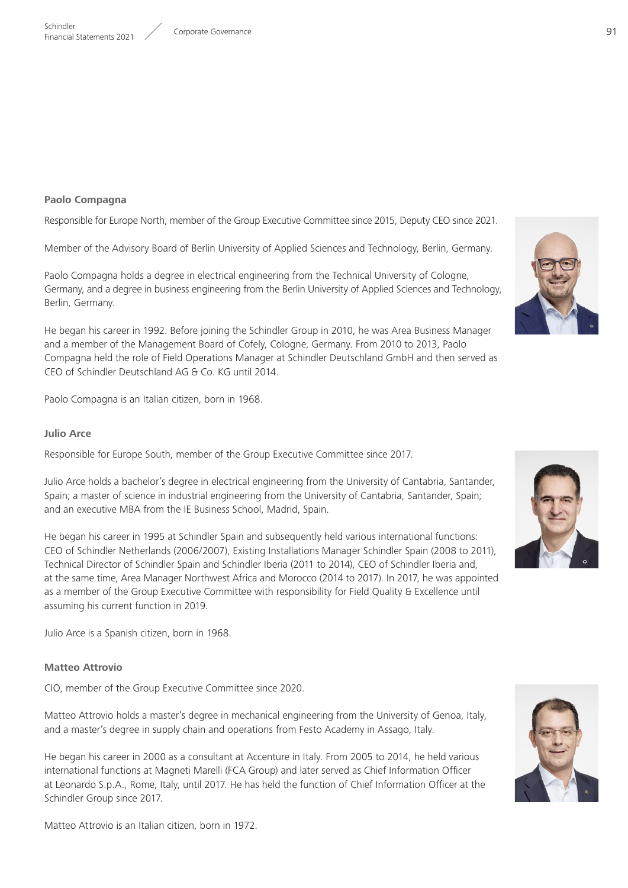#### **Paolo Compagna**

Responsible for Europe North, member of the Group Executive Committee since 2015, Deputy CEO since 2021.

Member of the Advisory Board of Berlin University of Applied Sciences and Technology, Berlin, Germany.

Paolo Compagna holds a degree in electrical engineering from the Technical University of Cologne, Germany, and a degree in business engineering from the Berlin University of Applied Sciences and Technology, Berlin, Germany.

He began his career in 1992. Before joining the Schindler Group in 2010, he was Area Business Manager and a member of the Management Board of Cofely, Cologne, Germany. From 2010 to 2013, Paolo Compagna held the role of Field Operations Manager at Schindler Deutschland GmbH and then served as CEO of Schindler Deutschland AG & Co. KG until 2014.

Paolo Compagna is an Italian citizen, born in 1968.

#### **Julio Arce**

Responsible for Europe South, member of the Group Executive Committee since 2017.

Julio Arce holds a bachelor's degree in electrical engineering from the University of Cantabria, Santander, Spain; a master of science in industrial engineering from the University of Cantabria, Santander, Spain; and an executive MBA from the IE Business School, Madrid, Spain.

He began his career in 1995 at Schindler Spain and subsequently held various international functions: CEO of Schindler Netherlands (2006/2007), Existing Installations Manager Schindler Spain (2008 to 2011), Technical Director of Schindler Spain and Schindler Iberia (2011 to 2014), CEO of Schindler Iberia and, at the same time, Area Manager Northwest Africa and Morocco (2014 to 2017). In 2017, he was appointed as a member of the Group Executive Committee with responsibility for Field Quality & Excellence until assuming his current function in 2019.

Julio Arce is a Spanish citizen, born in 1968.

#### **Matteo Attrovio**

CIO, member of the Group Executive Committee since 2020.

Matteo Attrovio holds a master's degree in mechanical engineering from the University of Genoa, Italy, and a master's degree in supply chain and operations from Festo Academy in Assago, Italy.

He began his career in 2000 as a consultant at Accenture in Italy. From 2005 to 2014, he held various international functions at Magneti Marelli (FCA Group) and later served as Chief Information Officer at Leonardo S.p.A., Rome, Italy, until 2017. He has held the function of Chief Information Officer at the Schindler Group since 2017.







Matteo Attrovio is an Italian citizen, born in 1972.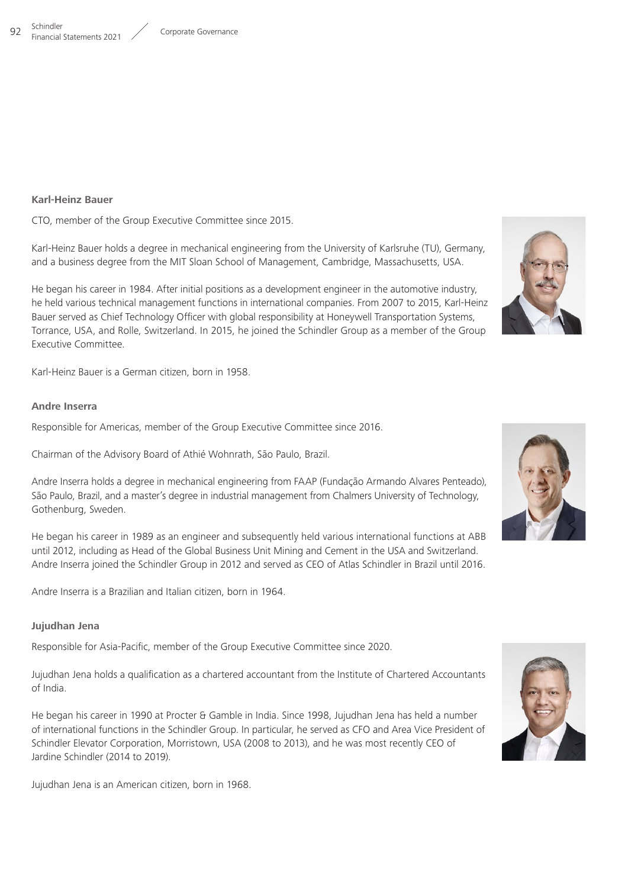#### **Karl-Heinz Bauer**

CTO, member of the Group Executive Committee since 2015.

Karl-Heinz Bauer holds a degree in mechanical engineering from the University of Karlsruhe (TU), Germany, and a business degree from the MIT Sloan School of Management, Cambridge, Massachusetts, USA.

He began his career in 1984. After initial positions as a development engineer in the automotive industry, he held various technical management functions in international companies. From 2007 to 2015, Karl-Heinz Bauer served as Chief Technology Officer with global responsibility at Honeywell Transportation Systems, Torrance, USA, and Rolle, Switzerland. In 2015, he joined the Schindler Group as a member of the Group Executive Committee.

Karl-Heinz Bauer is a German citizen, born in 1958.

#### **Andre Inserra**

Responsible for Americas, member of the Group Executive Committee since 2016.

Chairman of the Advisory Board of Athié Wohnrath, São Paulo, Brazil.

Andre Inserra holds a degree in mechanical engineering from FAAP (Fundação Armando Alvares Penteado), São Paulo, Brazil, and a master's degree in industrial management from Chalmers University of Technology, Gothenburg, Sweden.

He began his career in 1989 as an engineer and subsequently held various international functions at ABB until 2012, including as Head of the Global Business Unit Mining and Cement in the USA and Switzerland. Andre Inserra joined the Schindler Group in 2012 and served as CEO of Atlas Schindler in Brazil until 2016.

Andre Inserra is a Brazilian and Italian citizen, born in 1964.

#### **Jujudhan Jena**

Responsible for Asia-Pacific, member of the Group Executive Committee since 2020.

Jujudhan Jena holds a qualification as a chartered accountant from the Institute of Chartered Accountants of India.

He began his career in 1990 at Procter & Gamble in India. Since 1998, Jujudhan Jena has held a number of international functions in the Schindler Group. In particular, he served as CFO and Area Vice President of Schindler Elevator Corporation, Morristown, USA (2008 to 2013), and he was most recently CEO of Jardine Schindler (2014 to 2019).

Jujudhan Jena is an American citizen, born in 1968.





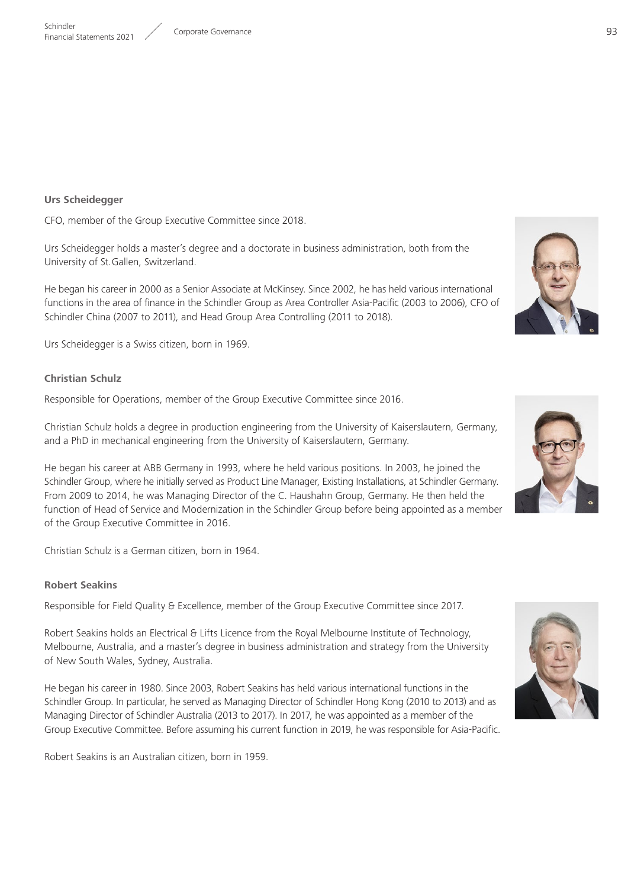#### **Urs Scheidegger**

CFO, member of the Group Executive Committee since 2018.

Urs Scheidegger holds a master's degree and a doctorate in business administration, both from the University of St.Gallen, Switzerland.

He began his career in 2000 as a Senior Associate at McKinsey. Since 2002, he has held various international functions in the area of finance in the Schindler Group as Area Controller Asia-Pacific (2003 to 2006), CFO of Schindler China (2007 to 2011), and Head Group Area Controlling (2011 to 2018).

Urs Scheidegger is a Swiss citizen, born in 1969.

#### **Christian Schulz**

Responsible for Operations, member of the Group Executive Committee since 2016.

Christian Schulz holds a degree in production engineering from the University of Kaiserslautern, Germany, and a PhD in mechanical engineering from the University of Kaiserslautern, Germany.

He began his career at ABB Germany in 1993, where he held various positions. In 2003, he joined the Schindler Group, where he initially served as Product Line Manager, Existing Installations, at Schindler Germany. From 2009 to 2014, he was Managing Director of the C. Haushahn Group, Germany. He then held the function of Head of Service and Modernization in the Schindler Group before being appointed as a member of the Group Executive Committee in 2016.

Christian Schulz is a German citizen, born in 1964.

#### **Robert Seakins**

Responsible for Field Quality & Excellence, member of the Group Executive Committee since 2017.

Robert Seakins holds an Electrical & Lifts Licence from the Royal Melbourne Institute of Technology, Melbourne, Australia, and a master's degree in business administration and strategy from the University of New South Wales, Sydney, Australia.

He began his career in 1980. Since 2003, Robert Seakins has held various international functions in the Schindler Group. In particular, he served as Managing Director of Schindler Hong Kong (2010 to 2013) and as Managing Director of Schindler Australia (2013 to 2017). In 2017, he was appointed as a member of the Group Executive Committee. Before assuming his current function in 2019, he was responsible for Asia-Pacific.

Robert Seakins is an Australian citizen, born in 1959.





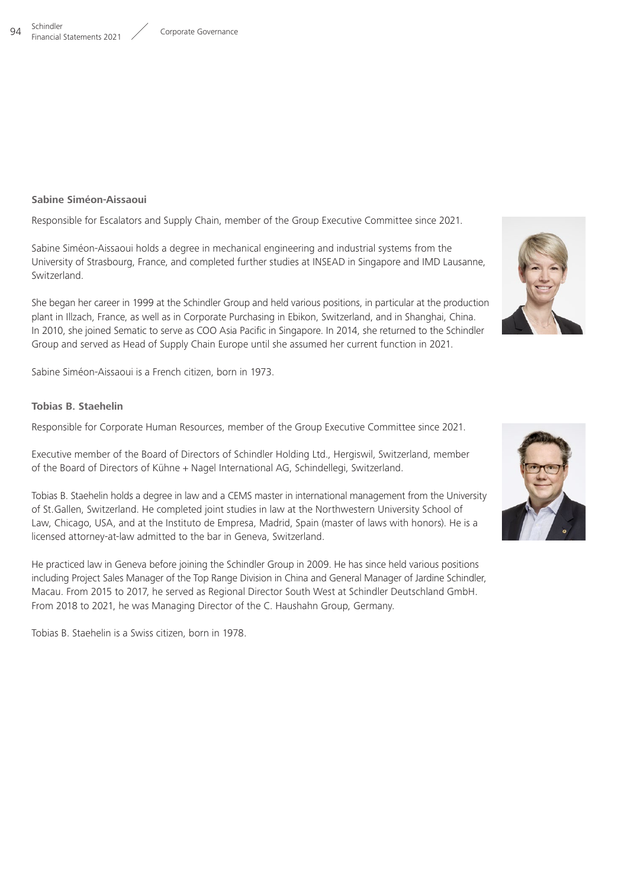#### **Sabine Siméon-Aissaoui**

Responsible for Escalators and Supply Chain, member of the Group Executive Committee since 2021.

Sabine Siméon-Aissaoui holds a degree in mechanical engineering and industrial systems from the University of Strasbourg, France, and completed further studies at INSEAD in Singapore and IMD Lausanne, Switzerland.

She began her career in 1999 at the Schindler Group and held various positions, in particular at the production plant in Illzach, France, as well as in Corporate Purchasing in Ebikon, Switzerland, and in Shanghai, China. In 2010, she joined Sematic to serve as COO Asia Pacific in Singapore. In 2014, she returned to the Schindler Group and served as Head of Supply Chain Europe until she assumed her current function in 2021.

Sabine Siméon-Aissaoui is a French citizen, born in 1973.

#### **Tobias B. Staehelin**

Responsible for Corporate Human Resources, member of the Group Executive Committee since 2021.

Executive member of the Board of Directors of Schindler Holding Ltd., Hergiswil, Switzerland, member of the Board of Directors of Kühne + Nagel International AG, Schindellegi, Switzerland.

Tobias B. Staehelin holds a degree in law and a CEMS master in international management from the University of St.Gallen, Switzerland. He completed joint studies in law at the Northwestern University School of Law, Chicago, USA, and at the Instituto de Empresa, Madrid, Spain (master of laws with honors). He is a licensed attorney-at-law admitted to the bar in Geneva, Switzerland.

He practiced law in Geneva before joining the Schindler Group in 2009. He has since held various positions including Project Sales Manager of the Top Range Division in China and General Manager of Jardine Schindler, Macau. From 2015 to 2017, he served as Regional Director South West at Schindler Deutschland GmbH. From 2018 to 2021, he was Managing Director of the C. Haushahn Group, Germany.

Tobias B. Staehelin is a Swiss citizen, born in 1978.





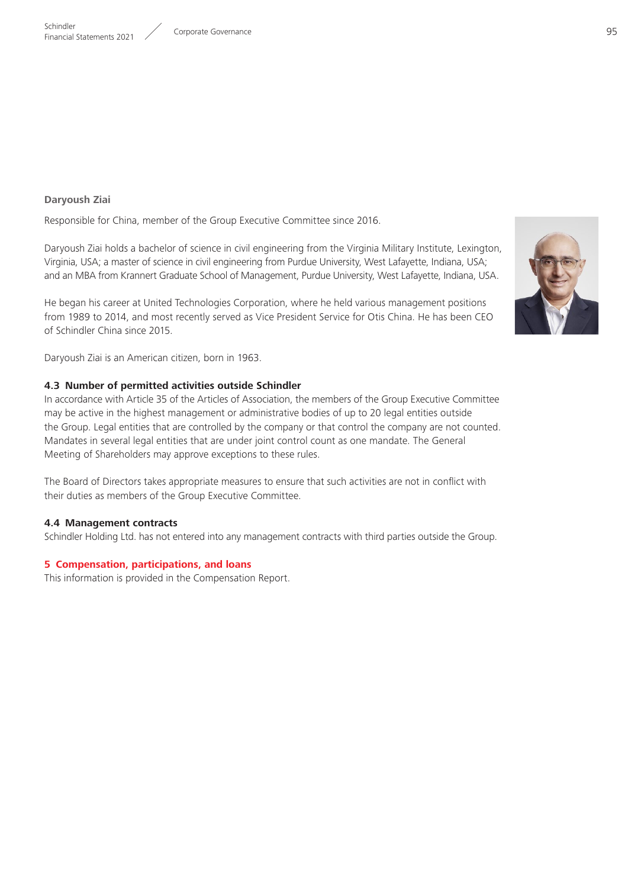### <span id="page-23-0"></span>**Daryoush Ziai**

Responsible for China, member of the Group Executive Committee since 2016.

Daryoush Ziai holds a bachelor of science in civil engineering from the Virginia Military Institute, Lexington, Virginia, USA; a master of science in civil engineering from Purdue University, West Lafayette, Indiana, USA; and an MBA from Krannert Graduate School of Management, Purdue University, West Lafayette, Indiana, USA.

He began his career at United Technologies Corporation, where he held various management positions from 1989 to 2014, and most recently served as Vice President Service for Otis China. He has been CEO of Schindler China since 2015.

Daryoush Ziai is an American citizen, born in 1963.

#### **4.3 Number of permitted activities outside Schindler**

In accordance with Article 35 of the Articles of Association, the members of the Group Executive Committee may be active in the highest management or administrative bodies of up to 20 legal entities outside the Group. Legal entities that are controlled by the company or that control the company are not counted. Mandates in several legal entities that are under joint control count as one mandate. The General Meeting of Shareholders may approve exceptions to these rules.

The Board of Directors takes appropriate measures to ensure that such activities are not in conflict with their duties as members of the Group Executive Committee.

#### **4.4 Management contracts**

Schindler Holding Ltd. has not entered into any management contracts with third parties outside the Group.

#### **5 Compensation, participations, and loans**

This information is provided in the Compensation Report.

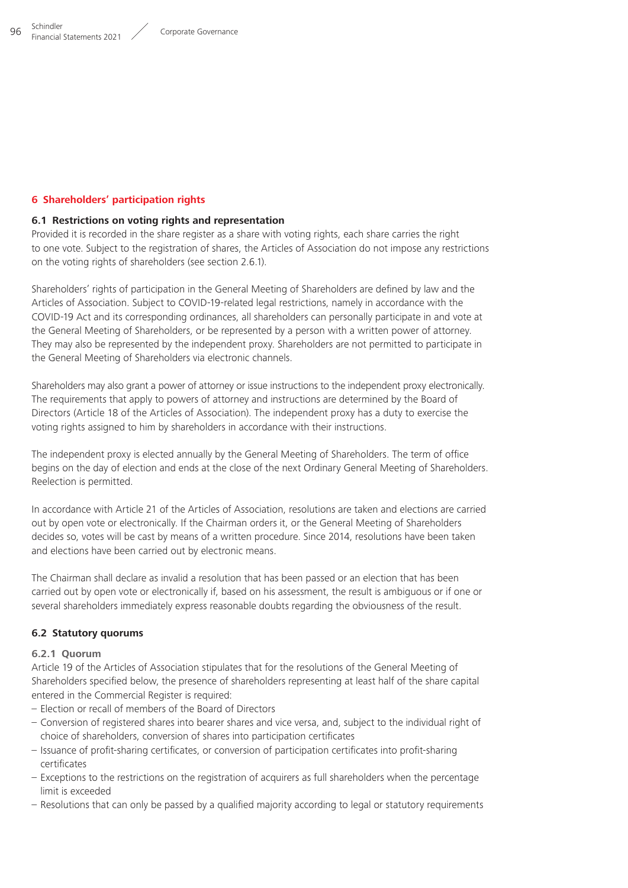#### <span id="page-24-0"></span>**6 Shareholders' participation rights**

#### **6.1 Restrictions on voting rights and representation**

Provided it is recorded in the share register as a share with voting rights, each share carries the right to one vote. Subject to the registration of shares, the Articles of Association do not impose any restrictions on the voting rights of shareholders (see section 2.6.1).

Shareholders' rights of participation in the General Meeting of Shareholders are defined by law and the Articles of Association. Subject to COVID-19-related legal restrictions, namely in accordance with the COVID-19 Act and its corresponding ordinances, all shareholders can personally participate in and vote at the General Meeting of Shareholders, or be represented by a person with a written power of attorney. They may also be represented by the independent proxy. Shareholders are not permitted to participate in the General Meeting of Shareholders via electronic channels.

Shareholders may also grant a power of attorney or issue instructions to the independent proxy electronically. The requirements that apply to powers of attorney and instructions are determined by the Board of Directors (Article 18 of the Articles of Association). The independent proxy has a duty to exercise the voting rights assigned to him by shareholders in accordance with their instructions.

The independent proxy is elected annually by the General Meeting of Shareholders. The term of office begins on the day of election and ends at the close of the next Ordinary General Meeting of Shareholders. Reelection is permitted.

In accordance with Article 21 of the Articles of Association, resolutions are taken and elections are carried out by open vote or electronically. If the Chairman orders it, or the General Meeting of Shareholders decides so, votes will be cast by means of a written procedure. Since 2014, resolutions have been taken and elections have been carried out by electronic means.

The Chairman shall declare as invalid a resolution that has been passed or an election that has been carried out by open vote or electronically if, based on his assessment, the result is ambiguous or if one or several shareholders immediately express reasonable doubts regarding the obviousness of the result.

### **6.2 Statutory quorums**

#### **6.2.1 Quorum**

Article 19 of the Articles of Association stipulates that for the resolutions of the General Meeting of Shareholders specified below, the presence of shareholders representing at least half of the share capital entered in the Commercial Register is required:

- Election or recall of members of the Board of Directors
- Conversion of registered shares into bearer shares and vice versa, and, subject to the individual right of choice of shareholders, conversion of shares into participation certificates
- Issuance of profit-sharing certificates, or conversion of participation certificates into profit-sharing certificates
- Exceptions to the restrictions on the registration of acquirers as full shareholders when the percentage limit is exceeded
- Resolutions that can only be passed by a qualified majority according to legal or statutory requirements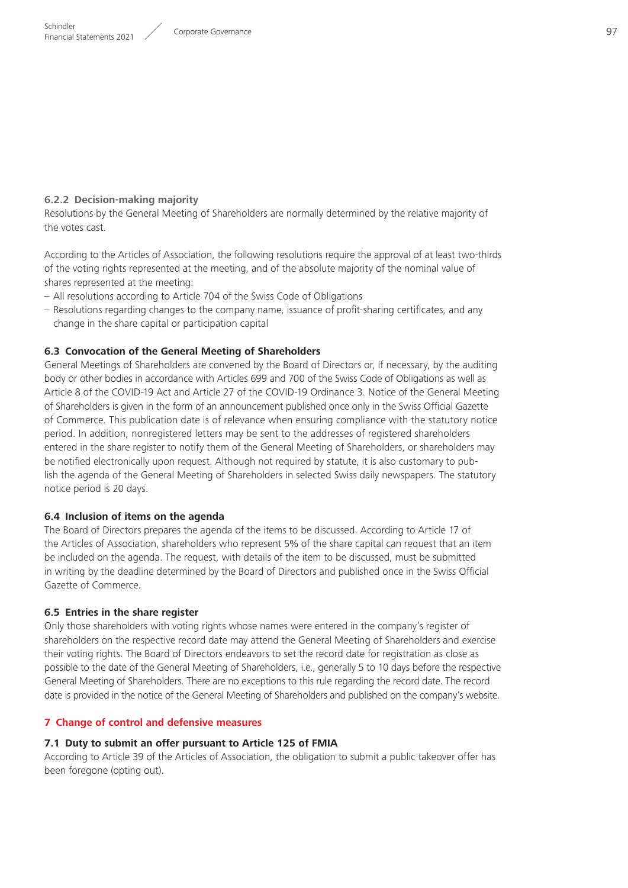## <span id="page-25-0"></span>**6.2.2 Decision-making majority**

Resolutions by the General Meeting of Shareholders are normally determined by the relative majority of the votes cast.

According to the Articles of Association, the following resolutions require the approval of at least two-thirds of the voting rights represented at the meeting, and of the absolute majority of the nominal value of shares represented at the meeting:

- All resolutions according to Article 704 of the Swiss Code of Obligations
- Resolutions regarding changes to the company name, issuance of profit-sharing certificates, and any change in the share capital or participation capital

## **6.3 Convocation of the General Meeting of Shareholders**

General Meetings of Shareholders are convened by the Board of Directors or, if necessary, by the auditing body or other bodies in accordance with Articles 699 and 700 of the Swiss Code of Obligations as well as Article 8 of the COVID-19 Act and Article 27 of the COVID-19 Ordinance 3. Notice of the General Meeting of Shareholders is given in the form of an announcement published once only in the Swiss Official Gazette of Commerce. This publication date is of relevance when ensuring compliance with the statutory notice period. In addition, nonregistered letters may be sent to the addresses of registered shareholders entered in the share register to notify them of the General Meeting of Shareholders, or shareholders may be notified electronically upon request. Although not required by statute, it is also customary to publish the agenda of the General Meeting of Shareholders in selected Swiss daily newspapers. The statutory notice period is 20 days.

## **6.4 Inclusion of items on the agenda**

The Board of Directors prepares the agenda of the items to be discussed. According to Article 17 of the Articles of Association, shareholders who represent 5% of the share capital can request that an item be included on the agenda. The request, with details of the item to be discussed, must be submitted in writing by the deadline determined by the Board of Directors and published once in the Swiss Official Gazette of Commerce.

## **6.5 Entries in the share register**

Only those shareholders with voting rights whose names were entered in the company's register of shareholders on the respective record date may attend the General Meeting of Shareholders and exercise their voting rights. The Board of Directors endeavors to set the record date for registration as close as possible to the date of the General Meeting of Shareholders, i.e., generally 5 to 10 days before the respective General Meeting of Shareholders. There are no exceptions to this rule regarding the record date. The record date is provided in the notice of the General Meeting of Shareholders and published on the company's website.

## **7 Change of control and defensive measures**

## **7.1 Duty to submit an offer pursuant to Article 125 of FMIA**

According to Article 39 of the Articles of Association, the obligation to submit a public takeover offer has been foregone (opting out).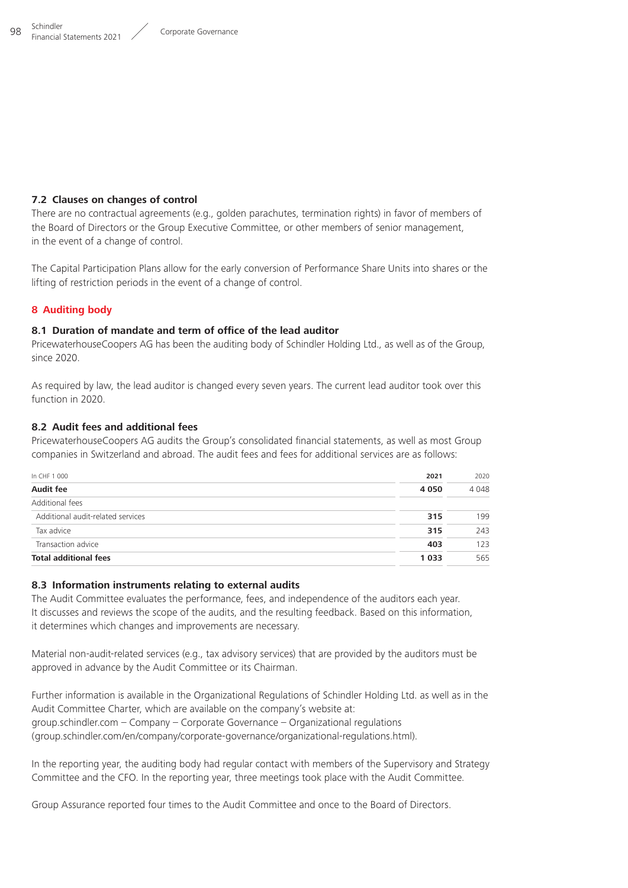#### <span id="page-26-0"></span>**7.2 Clauses on changes of control**

There are no contractual agreements (e.g., golden parachutes, termination rights) in favor of members of the Board of Directors or the Group Executive Committee, or other members of senior management, in the event of a change of control.

The Capital Participation Plans allow for the early conversion of Performance Share Units into shares or the lifting of restriction periods in the event of a change of control.

#### **8 Auditing body**

#### **8.1 Duration of mandate and term of office of the lead auditor**

PricewaterhouseCoopers AG has been the auditing body of Schindler Holding Ltd., as well as of the Group, since 2020.

As required by law, the lead auditor is changed every seven years. The current lead auditor took over this function in 2020.

#### **8.2 Audit fees and additional fees**

PricewaterhouseCoopers AG audits the Group's consolidated financial statements, as well as most Group companies in Switzerland and abroad. The audit fees and fees for additional services are as follows:

| In CHF 1 000                      | 2021    | 2020    |
|-----------------------------------|---------|---------|
| <b>Audit fee</b>                  | 4 0 5 0 | 4 0 4 8 |
| Additional fees                   |         |         |
| Additional audit-related services | 315     | 199     |
| Tax advice                        | 315     | 243     |
| Transaction advice                | 403     | 123     |
| <b>Total additional fees</b>      | 1 0 3 3 | 565     |

### **8.3 Information instruments relating to external audits**

The Audit Committee evaluates the performance, fees, and independence of the auditors each year. It discusses and reviews the scope of the audits, and the resulting feedback. Based on this information, it determines which changes and improvements are necessary.

Material non-audit-related services (e.g., tax advisory services) that are provided by the auditors must be approved in advance by the Audit Committee or its Chairman.

Further information is available in the Organizational Regulations of Schindler Holding Ltd. as well as in the Audit Committee Charter, which are available on the company's website at: https://group.schindler.com – Company – Corporate Governance – Organizational regulations ( group.schindler.com/en/company/corporate-governance/organizational-regulations.html).

In the reporting year, the auditing body had regular contact with members of the Supervisory and Strategy Committee and the CFO. In the reporting year, three meetings took place with the Audit Committee.

Group Assurance reported four times to the Audit Committee and once to the Board of Directors.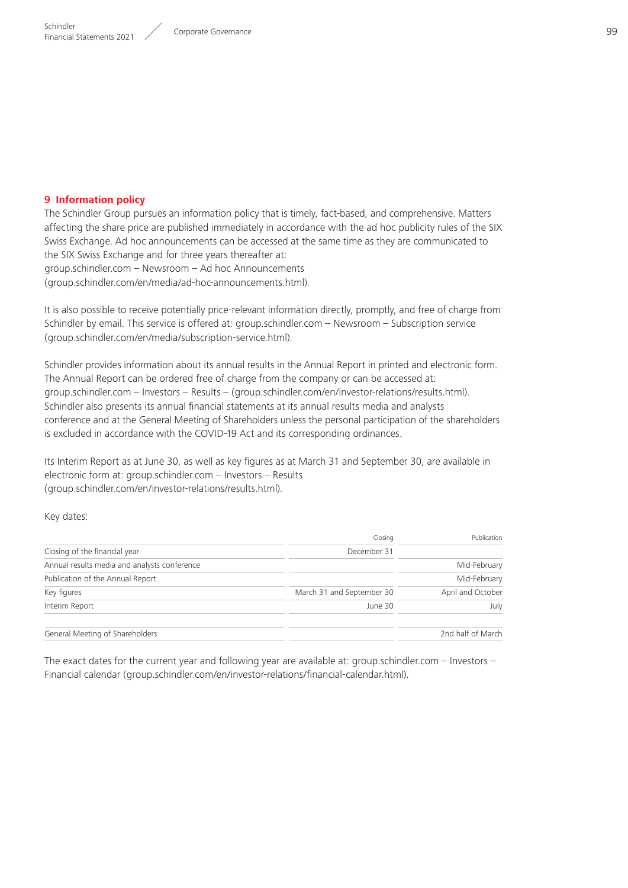## <span id="page-27-0"></span>**9 Information policy**

The Schindler Group pursues an information policy that is timely, fact-based, and comprehensive. Matters affecting the share price are published immediately in accordance with the ad hoc publicity rules of the SIX Swiss Exchange. Ad hoc announcements can be accessed at the same time as they are communicated to the SIX Swiss Exchange and for three years thereafter at:  $qroup.schindler.com - Newsroom - Ad hoc Announcements$ ( group.schindler.com/en/media/ad-hoc-announcements.html).

It is also possible to receive potentially price-relevant information directly, promptly, and free of charge from Schindler by email. This service is offered at: group.schindler.com – Newsroom – Subscription service ( group.schindler.com/en/media/subscription-service.html).

Schindler provides information about its annual results in the Annual Report in printed and electronic form. The Annual Report can be ordered free of charge from the company or can be accessed at: group.schindler.com – Investors – Results – ( group.schindler.com/en/investor-relations/results.html). Schindler also presents its annual financial statements at its annual results media and analysts conference and at the General Meeting of Shareholders unless the personal participation of the shareholders is excluded in accordance with the COVID-19 Act and its corresponding ordinances.

Its Interim Report as at June 30, as well as key figures as at March 31 and September 30, are available in electronic form at: group.schindler.com – Investors – Results ( group.schindler.com/en/investor-relations/results.html).

Key dates:

|                                              | Closing                   | Publication       |
|----------------------------------------------|---------------------------|-------------------|
| Closing of the financial year                | December 31               |                   |
| Annual results media and analysts conference |                           | Mid-February      |
| Publication of the Annual Report             |                           | Mid-February      |
| Key figures                                  | March 31 and September 30 | April and October |
| Interim Report                               | June 30                   | July              |
| General Meeting of Shareholders              |                           | 2nd half of March |

The exact dates for the current year and following year are available at: group.schindler.com – Investors – Financial calendar ( group.schindler.com/en/investor-relations/financial-calendar.html).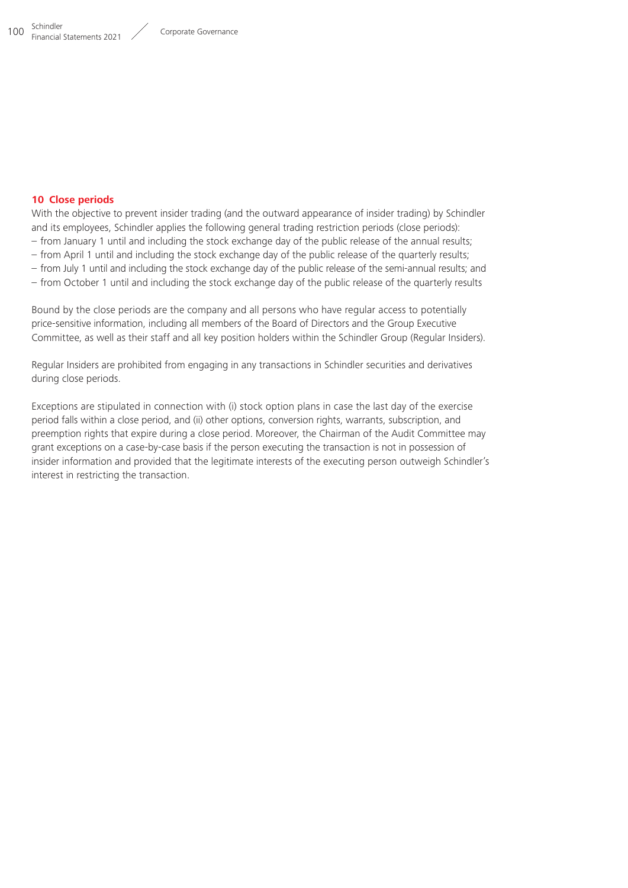#### <span id="page-28-0"></span>**10 Close periods**

With the objective to prevent insider trading (and the outward appearance of insider trading) by Schindler and its employees, Schindler applies the following general trading restriction periods (close periods):

- from January 1 until and including the stock exchange day of the public release of the annual results;
- from April 1 until and including the stock exchange day of the public release of the quarterly results;
- from July 1 until and including the stock exchange day of the public release of the semi-annual results; and
- from October 1 until and including the stock exchange day of the public release of the quarterly results

Bound by the close periods are the company and all persons who have regular access to potentially price-sensitive information, including all members of the Board of Directors and the Group Executive Committee, as well as their staff and all key position holders within the Schindler Group (Regular Insiders).

Regular Insiders are prohibited from engaging in any transactions in Schindler securities and derivatives during close periods.

Exceptions are stipulated in connection with (i) stock option plans in case the last day of the exercise period falls within a close period, and (ii) other options, conversion rights, warrants, subscription, and preemption rights that expire during a close period. Moreover, the Chairman of the Audit Committee may grant exceptions on a case-by-case basis if the person executing the transaction is not in possession of insider information and provided that the legitimate interests of the executing person outweigh Schindler's interest in restricting the transaction.